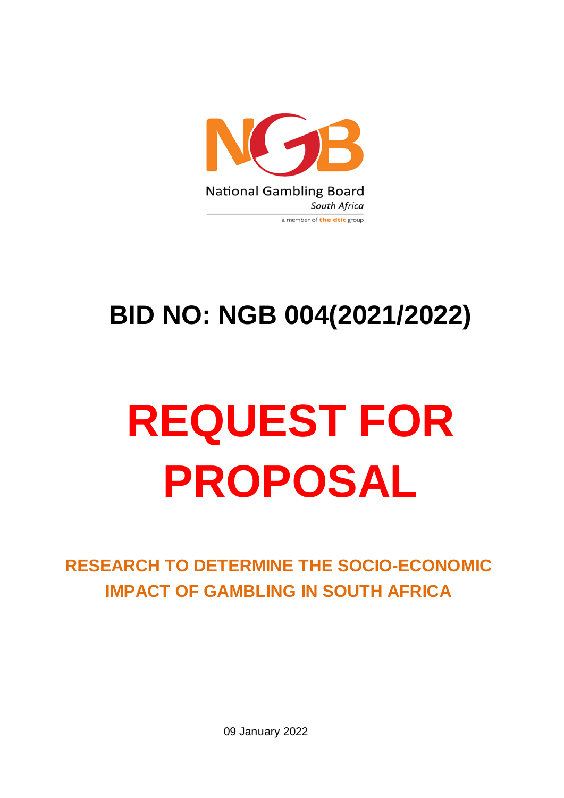

# **BID NO: NGB 004(2021/2022)**

# **REQUEST FOR PROPOSAL**

**RESEARCH TO DETERMINE THE SOCIO-ECONOMIC IMPACT OF GAMBLING IN SOUTH AFRICA**

09 January 2022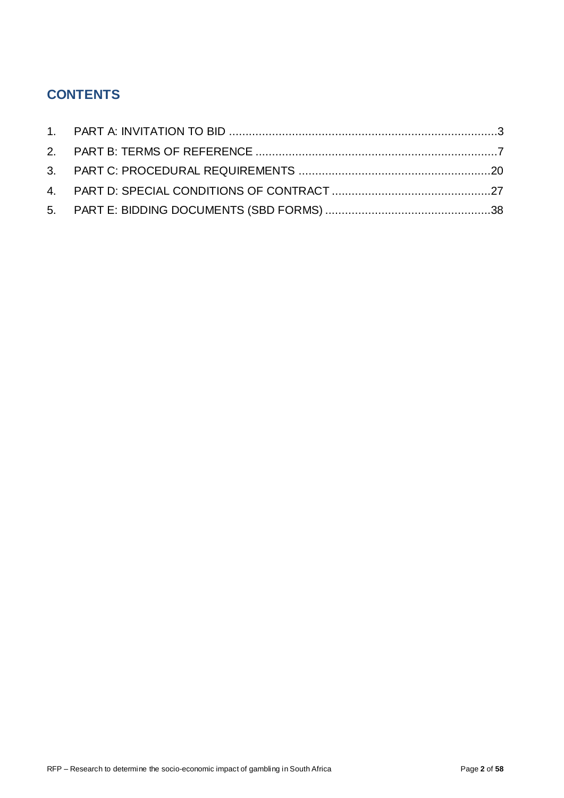# **CONTENTS**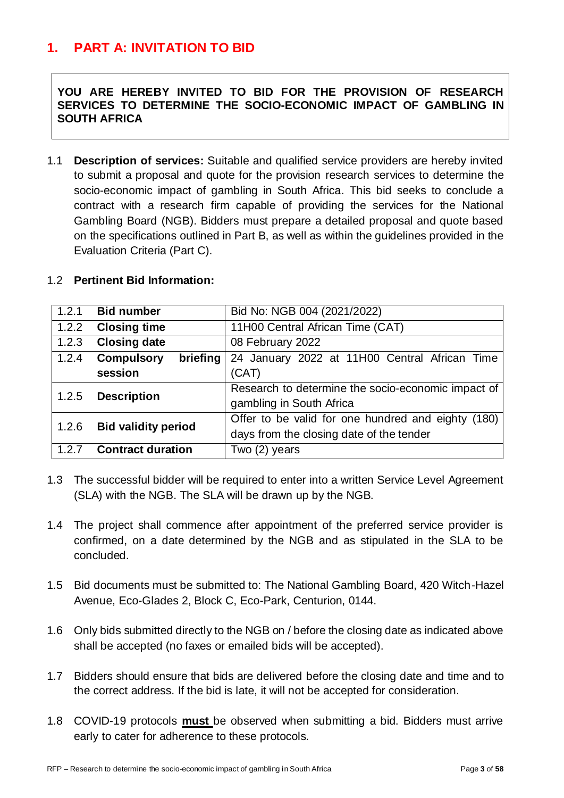# <span id="page-2-0"></span>**1. PART A: INVITATION TO BID**

**YOU ARE HEREBY INVITED TO BID FOR THE PROVISION OF RESEARCH SERVICES TO DETERMINE THE SOCIO-ECONOMIC IMPACT OF GAMBLING IN SOUTH AFRICA**

1.1 **Description of services:** Suitable and qualified service providers are hereby invited to submit a proposal and quote for the provision research services to determine the socio-economic impact of gambling in South Africa. This bid seeks to conclude a contract with a research firm capable of providing the services for the National Gambling Board (NGB). Bidders must prepare a detailed proposal and quote based on the specifications outlined in Part B, as well as within the guidelines provided in the Evaluation Criteria (Part C).

|  |  |  | 1.2 Pertinent Bid Information: |
|--|--|--|--------------------------------|
|--|--|--|--------------------------------|

| 1.2.1                       | <b>Bid number</b>          | Bid No: NGB 004 (2021/2022)                        |  |  |  |  |
|-----------------------------|----------------------------|----------------------------------------------------|--|--|--|--|
| 1.2.2                       | <b>Closing time</b>        | 11H00 Central African Time (CAT)                   |  |  |  |  |
| 1.2.3                       | <b>Closing date</b>        | 08 February 2022                                   |  |  |  |  |
| 1.2.4                       | Compulsory<br>briefing     | 24 January 2022 at 11H00 Central African Time      |  |  |  |  |
|                             | session                    | (CAT)                                              |  |  |  |  |
| <b>Description</b><br>1.2.5 |                            | Research to determine the socio-economic impact of |  |  |  |  |
|                             |                            | gambling in South Africa                           |  |  |  |  |
| 1.2.6                       | <b>Bid validity period</b> | Offer to be valid for one hundred and eighty (180) |  |  |  |  |
|                             |                            | days from the closing date of the tender           |  |  |  |  |
| 1.2.7                       | <b>Contract duration</b>   | Two (2) years                                      |  |  |  |  |

- 1.3 The successful bidder will be required to enter into a written Service Level Agreement (SLA) with the NGB. The SLA will be drawn up by the NGB.
- 1.4 The project shall commence after appointment of the preferred service provider is confirmed, on a date determined by the NGB and as stipulated in the SLA to be concluded.
- 1.5 Bid documents must be submitted to: The National Gambling Board, 420 Witch-Hazel Avenue, Eco-Glades 2, Block C, Eco-Park, Centurion, 0144.
- 1.6 Only bids submitted directly to the NGB on / before the closing date as indicated above shall be accepted (no faxes or emailed bids will be accepted).
- 1.7 Bidders should ensure that bids are delivered before the closing date and time and to the correct address. If the bid is late, it will not be accepted for consideration.
- 1.8 COVID-19 protocols **must** be observed when submitting a bid. Bidders must arrive early to cater for adherence to these protocols.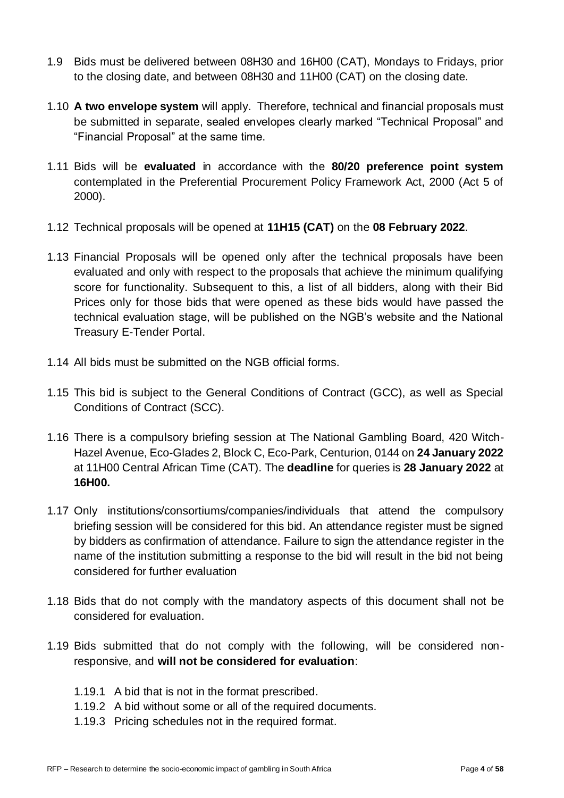- 1.9 Bids must be delivered between 08H30 and 16H00 (CAT), Mondays to Fridays, prior to the closing date, and between 08H30 and 11H00 (CAT) on the closing date.
- 1.10 **A two envelope system** will apply. Therefore, technical and financial proposals must be submitted in separate, sealed envelopes clearly marked "Technical Proposal" and "Financial Proposal" at the same time.
- 1.11 Bids will be **evaluated** in accordance with the **80/20 preference point system** contemplated in the Preferential Procurement Policy Framework Act, 2000 (Act 5 of 2000).
- 1.12 Technical proposals will be opened at **11H15 (CAT)** on the **08 February 2022**.
- 1.13 Financial Proposals will be opened only after the technical proposals have been evaluated and only with respect to the proposals that achieve the minimum qualifying score for functionality. Subsequent to this, a list of all bidders, along with their Bid Prices only for those bids that were opened as these bids would have passed the technical evaluation stage, will be published on the NGB's website and the National Treasury E-Tender Portal.
- 1.14 All bids must be submitted on the NGB official forms.
- 1.15 This bid is subject to the General Conditions of Contract (GCC), as well as Special Conditions of Contract (SCC).
- 1.16 There is a compulsory briefing session at The National Gambling Board, 420 Witch-Hazel Avenue, Eco-Glades 2, Block C, Eco-Park, Centurion, 0144 on **24 January 2022** at 11H00 Central African Time (CAT). The **deadline** for queries is **28 January 2022** at **16H00.**
- 1.17 Only institutions/consortiums/companies/individuals that attend the compulsory briefing session will be considered for this bid. An attendance register must be signed by bidders as confirmation of attendance. Failure to sign the attendance register in the name of the institution submitting a response to the bid will result in the bid not being considered for further evaluation
- 1.18 Bids that do not comply with the mandatory aspects of this document shall not be considered for evaluation.
- 1.19 Bids submitted that do not comply with the following, will be considered nonresponsive, and **will not be considered for evaluation**:
	- 1.19.1 A bid that is not in the format prescribed.
	- 1.19.2 A bid without some or all of the required documents.
	- 1.19.3 Pricing schedules not in the required format.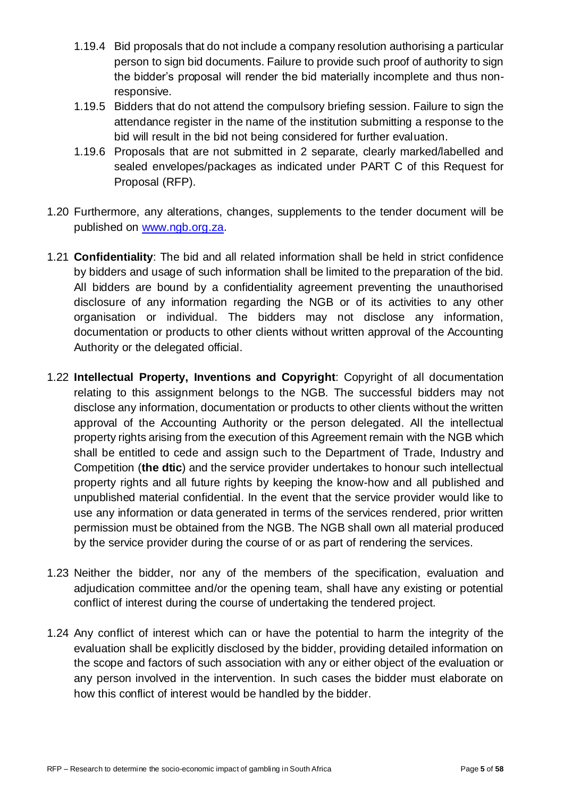- 1.19.4 Bid proposals that do not include a company resolution authorising a particular person to sign bid documents. Failure to provide such proof of authority to sign the bidder's proposal will render the bid materially incomplete and thus nonresponsive.
- 1.19.5 Bidders that do not attend the compulsory briefing session. Failure to sign the attendance register in the name of the institution submitting a response to the bid will result in the bid not being considered for further evaluation.
- 1.19.6 Proposals that are not submitted in 2 separate, clearly marked/labelled and sealed envelopes/packages as indicated under PART C of this Request for Proposal (RFP).
- 1.20 Furthermore, any alterations, changes, supplements to the tender document will be published on [www.ngb.org.za.](http://www.ngb.org.za/)
- 1.21 **Confidentiality**: The bid and all related information shall be held in strict confidence by bidders and usage of such information shall be limited to the preparation of the bid. All bidders are bound by a confidentiality agreement preventing the unauthorised disclosure of any information regarding the NGB or of its activities to any other organisation or individual. The bidders may not disclose any information, documentation or products to other clients without written approval of the Accounting Authority or the delegated official.
- 1.22 **Intellectual Property, Inventions and Copyright**: Copyright of all documentation relating to this assignment belongs to the NGB. The successful bidders may not disclose any information, documentation or products to other clients without the written approval of the Accounting Authority or the person delegated. All the intellectual property rights arising from the execution of this Agreement remain with the NGB which shall be entitled to cede and assign such to the Department of Trade, Industry and Competition (**the dtic**) and the service provider undertakes to honour such intellectual property rights and all future rights by keeping the know-how and all published and unpublished material confidential. In the event that the service provider would like to use any information or data generated in terms of the services rendered, prior written permission must be obtained from the NGB. The NGB shall own all material produced by the service provider during the course of or as part of rendering the services.
- 1.23 Neither the bidder, nor any of the members of the specification, evaluation and adjudication committee and/or the opening team, shall have any existing or potential conflict of interest during the course of undertaking the tendered project.
- 1.24 Any conflict of interest which can or have the potential to harm the integrity of the evaluation shall be explicitly disclosed by the bidder, providing detailed information on the scope and factors of such association with any or either object of the evaluation or any person involved in the intervention. In such cases the bidder must elaborate on how this conflict of interest would be handled by the bidder.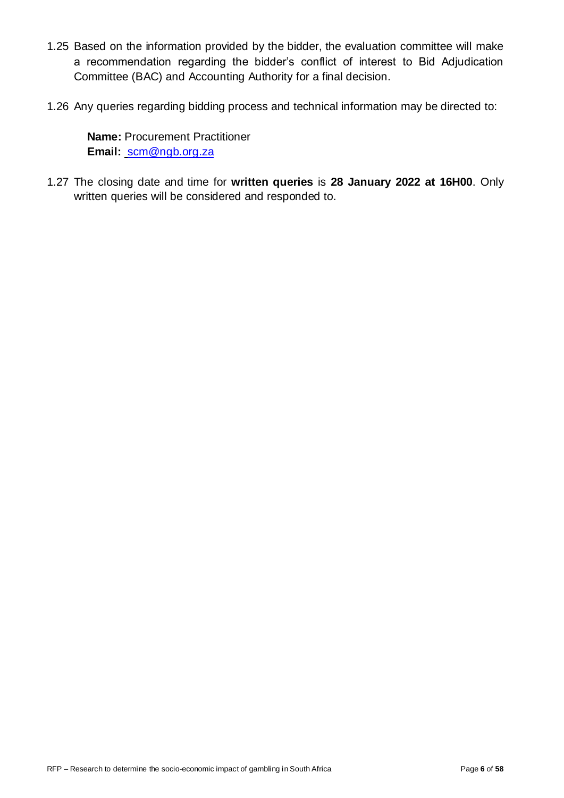- 1.25 Based on the information provided by the bidder, the evaluation committee will make a recommendation regarding the bidder's conflict of interest to Bid Adjudication Committee (BAC) and Accounting Authority for a final decision.
- 1.26 Any queries regarding bidding process and technical information may be directed to:

**Name:** Procurement Practitioner **Email:** [scm@ngb.org.za](mailto:scm@ngb.org.za)

1.27 The closing date and time for **written queries** is **28 January 2022 at 16H00**. Only written queries will be considered and responded to.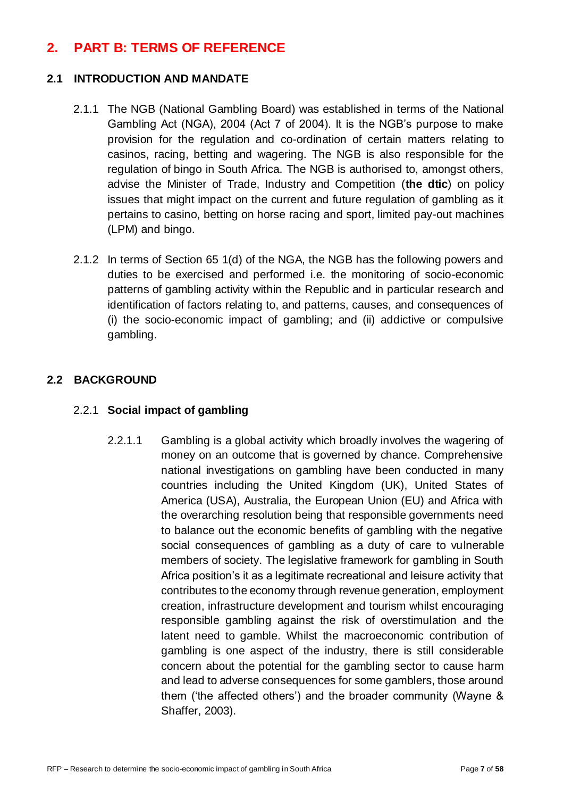## <span id="page-6-0"></span>**2. PART B: TERMS OF REFERENCE**

#### **2.1 INTRODUCTION AND MANDATE**

- 2.1.1 The NGB (National Gambling Board) was established in terms of the National Gambling Act (NGA), 2004 (Act 7 of 2004). It is the NGB's purpose to make provision for the regulation and co-ordination of certain matters relating to casinos, racing, betting and wagering. The NGB is also responsible for the regulation of bingo in South Africa. The NGB is authorised to, amongst others, advise the Minister of Trade, Industry and Competition (**the dtic**) on policy issues that might impact on the current and future regulation of gambling as it pertains to casino, betting on horse racing and sport, limited pay-out machines (LPM) and bingo.
- 2.1.2 In terms of Section 65 1(d) of the NGA, the NGB has the following powers and duties to be exercised and performed i.e. the monitoring of socio-economic patterns of gambling activity within the Republic and in particular research and identification of factors relating to, and patterns, causes, and consequences of (i) the socio-economic impact of gambling; and (ii) addictive or compulsive gambling.

#### **2.2 BACKGROUND**

#### 2.2.1 **Social impact of gambling**

2.2.1.1 Gambling is a global activity which broadly involves the wagering of money on an outcome that is governed by chance. Comprehensive national investigations on gambling have been conducted in many countries including the United Kingdom (UK), United States of America (USA), Australia, the European Union (EU) and Africa with the overarching resolution being that responsible governments need to balance out the economic benefits of gambling with the negative social consequences of gambling as a duty of care to vulnerable members of society. The legislative framework for gambling in South Africa position's it as a legitimate recreational and leisure activity that contributes to the economy through revenue generation, employment creation, infrastructure development and tourism whilst encouraging responsible gambling against the risk of overstimulation and the latent need to gamble. Whilst the macroeconomic contribution of gambling is one aspect of the industry, there is still considerable concern about the potential for the gambling sector to cause harm and lead to adverse consequences for some gamblers, those around them ('the affected others') and the broader community (Wayne & Shaffer, 2003).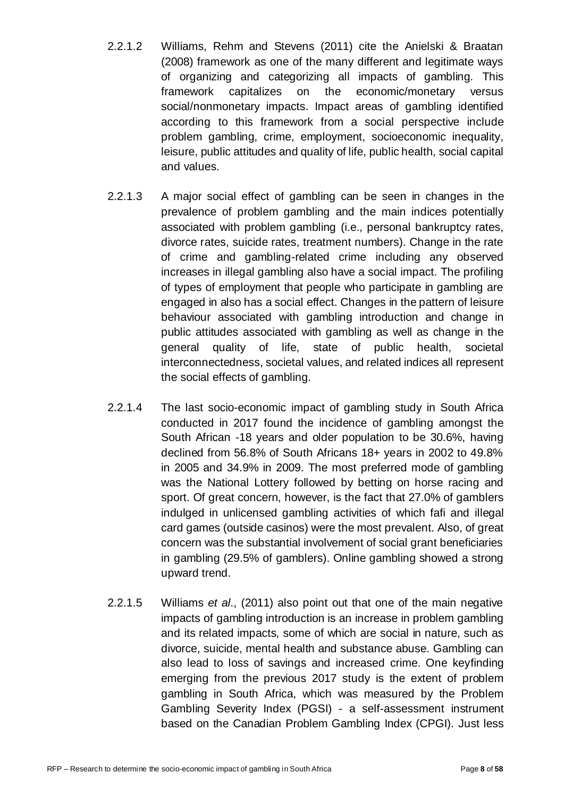- 2.2.1.2 Williams, Rehm and Stevens (2011) cite the Anielski & Braatan (2008) framework as one of the many different and legitimate ways of organizing and categorizing all impacts of gambling. This framework capitalizes on the economic/monetary versus social/nonmonetary impacts. Impact areas of gambling identified according to this framework from a social perspective include problem gambling, crime, employment, socioeconomic inequality, leisure, public attitudes and quality of life, public health, social capital and values.
- 2.2.1.3 A major social effect of gambling can be seen in changes in the prevalence of problem gambling and the main indices potentially associated with problem gambling (i.e., personal bankruptcy rates, divorce rates, suicide rates, treatment numbers). Change in the rate of crime and gambling-related crime including any observed increases in illegal gambling also have a social impact. The profiling of types of employment that people who participate in gambling are engaged in also has a social effect. Changes in the pattern of leisure behaviour associated with gambling introduction and change in public attitudes associated with gambling as well as change in the general quality of life, state of public health, societal interconnectedness, societal values, and related indices all represent the social effects of gambling.
- 2.2.1.4 The last socio-economic impact of gambling study in South Africa conducted in 2017 found the incidence of gambling amongst the South African -18 years and older population to be 30.6%, having declined from 56.8% of South Africans 18+ years in 2002 to 49.8% in 2005 and 34.9% in 2009. The most preferred mode of gambling was the National Lottery followed by betting on horse racing and sport. Of great concern, however, is the fact that 27.0% of gamblers indulged in unlicensed gambling activities of which fafi and illegal card games (outside casinos) were the most prevalent. Also, of great concern was the substantial involvement of social grant beneficiaries in gambling (29.5% of gamblers). Online gambling showed a strong upward trend.
- 2.2.1.5 Williams *et al*., (2011) also point out that one of the main negative impacts of gambling introduction is an increase in problem gambling and its related impacts, some of which are social in nature, such as divorce, suicide, mental health and substance abuse. Gambling can also lead to loss of savings and increased crime. One keyfinding emerging from the previous 2017 study is the extent of problem gambling in South Africa, which was measured by the Problem Gambling Severity Index (PGSI) - a self-assessment instrument based on the Canadian Problem Gambling Index (CPGI). Just less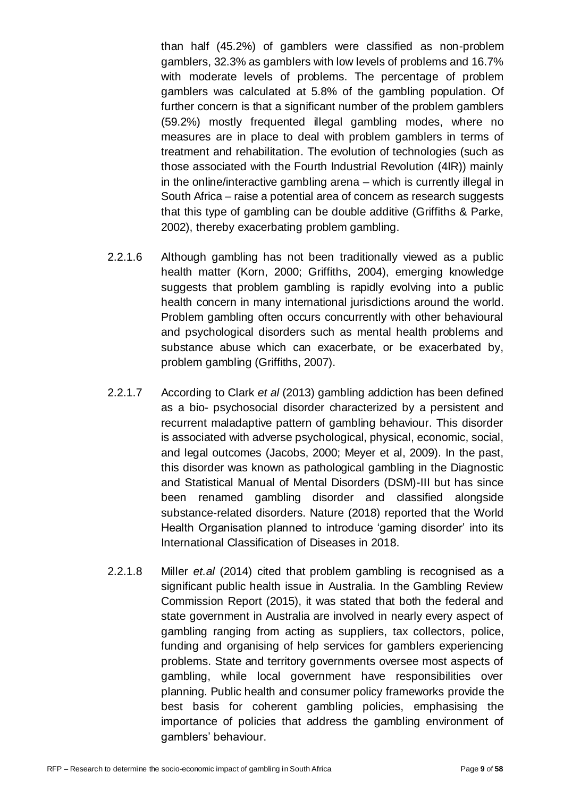than half (45.2%) of gamblers were classified as non-problem gamblers, 32.3% as gamblers with low levels of problems and 16.7% with moderate levels of problems. The percentage of problem gamblers was calculated at 5.8% of the gambling population. Of further concern is that a significant number of the problem gamblers (59.2%) mostly frequented illegal gambling modes, where no measures are in place to deal with problem gamblers in terms of treatment and rehabilitation. The evolution of technologies (such as those associated with the Fourth Industrial Revolution (4IR)) mainly in the online/interactive gambling arena – which is currently illegal in South Africa – raise a potential area of concern as research suggests that this type of gambling can be double additive (Griffiths & Parke, 2002), thereby exacerbating problem gambling.

- 2.2.1.6 Although gambling has not been traditionally viewed as a public health matter (Korn, 2000; Griffiths, 2004), emerging knowledge suggests that problem gambling is rapidly evolving into a public health concern in many international jurisdictions around the world. Problem gambling often occurs concurrently with other behavioural and psychological disorders such as mental health problems and substance abuse which can exacerbate, or be exacerbated by, problem gambling (Griffiths, 2007).
- 2.2.1.7 According to Clark *et al* (2013) gambling addiction has been defined as a bio- psychosocial disorder characterized by a persistent and recurrent maladaptive pattern of gambling behaviour. This disorder is associated with adverse psychological, physical, economic, social, and legal outcomes (Jacobs, 2000; Meyer et al, 2009). In the past, this disorder was known as pathological gambling in the Diagnostic and Statistical Manual of Mental Disorders (DSM)-III but has since been renamed gambling disorder and classified alongside substance-related disorders. Nature (2018) reported that the World Health Organisation planned to introduce 'gaming disorder' into its International Classification of Diseases in 2018.
- 2.2.1.8 Miller *et.al* (2014) cited that problem gambling is recognised as a significant public health issue in Australia. In the Gambling Review Commission Report (2015), it was stated that both the federal and state government in Australia are involved in nearly every aspect of gambling ranging from acting as suppliers, tax collectors, police, funding and organising of help services for gamblers experiencing problems. State and territory governments oversee most aspects of gambling, while local government have responsibilities over planning. Public health and consumer policy frameworks provide the best basis for coherent gambling policies, emphasising the importance of policies that address the gambling environment of gamblers' behaviour.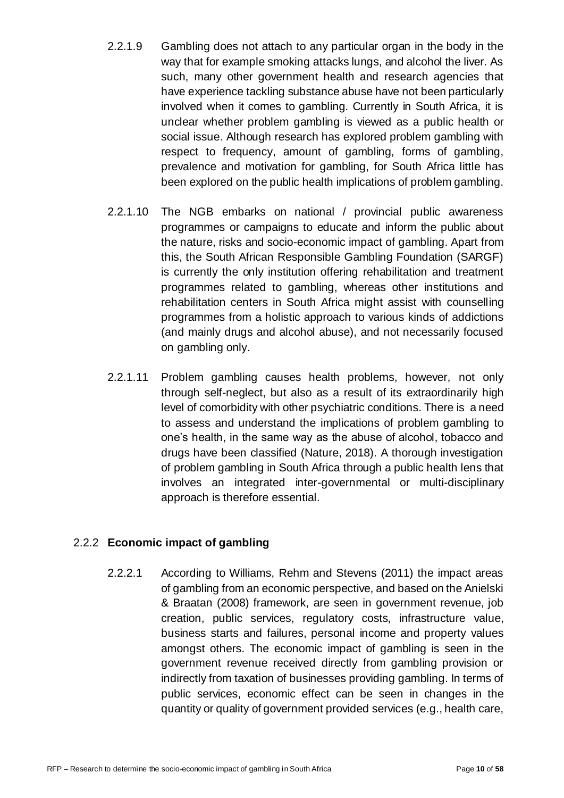- 2.2.1.9 Gambling does not attach to any particular organ in the body in the way that for example smoking attacks lungs, and alcohol the liver. As such, many other government health and research agencies that have experience tackling substance abuse have not been particularly involved when it comes to gambling. Currently in South Africa, it is unclear whether problem gambling is viewed as a public health or social issue. Although research has explored problem gambling with respect to frequency, amount of gambling, forms of gambling, prevalence and motivation for gambling, for South Africa little has been explored on the public health implications of problem gambling.
- 2.2.1.10 The NGB embarks on national / provincial public awareness programmes or campaigns to educate and inform the public about the nature, risks and socio-economic impact of gambling. Apart from this, the South African Responsible Gambling Foundation (SARGF) is currently the only institution offering rehabilitation and treatment programmes related to gambling, whereas other institutions and rehabilitation centers in South Africa might assist with counselling programmes from a holistic approach to various kinds of addictions (and mainly drugs and alcohol abuse), and not necessarily focused on gambling only.
- 2.2.1.11 Problem gambling causes health problems, however, not only through self-neglect, but also as a result of its extraordinarily high level of comorbidity with other psychiatric conditions. There is a need to assess and understand the implications of problem gambling to one's health, in the same way as the abuse of alcohol, tobacco and drugs have been classified (Nature, 2018). A thorough investigation of problem gambling in South Africa through a public health lens that involves an integrated inter-governmental or multi-disciplinary approach is therefore essential.

#### 2.2.2 **Economic impact of gambling**

2.2.2.1 According to Williams, Rehm and Stevens (2011) the impact areas of gambling from an economic perspective, and based on the Anielski & Braatan (2008) framework, are seen in government revenue, job creation, public services, regulatory costs, infrastructure value, business starts and failures, personal income and property values amongst others. The economic impact of gambling is seen in the government revenue received directly from gambling provision or indirectly from taxation of businesses providing gambling. In terms of public services, economic effect can be seen in changes in the quantity or quality of government provided services (e.g., health care,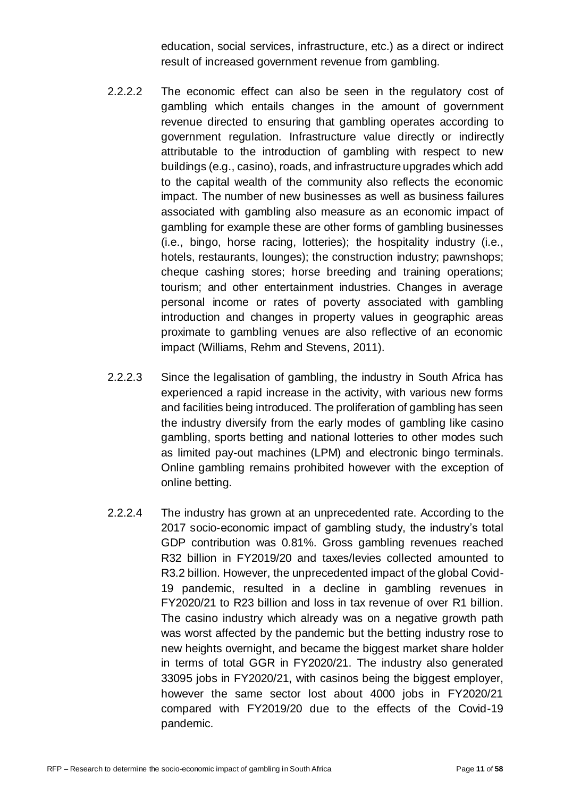education, social services, infrastructure, etc.) as a direct or indirect result of increased government revenue from gambling.

- 2.2.2.2 The economic effect can also be seen in the regulatory cost of gambling which entails changes in the amount of government revenue directed to ensuring that gambling operates according to government regulation. Infrastructure value directly or indirectly attributable to the introduction of gambling with respect to new buildings (e.g., casino), roads, and infrastructure upgrades which add to the capital wealth of the community also reflects the economic impact. The number of new businesses as well as business failures associated with gambling also measure as an economic impact of gambling for example these are other forms of gambling businesses (i.e., bingo, horse racing, lotteries); the hospitality industry (i.e., hotels, restaurants, lounges); the construction industry; pawnshops; cheque cashing stores; horse breeding and training operations; tourism; and other entertainment industries. Changes in average personal income or rates of poverty associated with gambling introduction and changes in property values in geographic areas proximate to gambling venues are also reflective of an economic impact (Williams, Rehm and Stevens, 2011).
- 2.2.2.3 Since the legalisation of gambling, the industry in South Africa has experienced a rapid increase in the activity, with various new forms and facilities being introduced. The proliferation of gambling has seen the industry diversify from the early modes of gambling like casino gambling, sports betting and national lotteries to other modes such as limited pay-out machines (LPM) and electronic bingo terminals. Online gambling remains prohibited however with the exception of online betting.
- 2.2.2.4 The industry has grown at an unprecedented rate. According to the 2017 socio-economic impact of gambling study, the industry's total GDP contribution was 0.81%. Gross gambling revenues reached R32 billion in FY2019/20 and taxes/levies collected amounted to R3.2 billion. However, the unprecedented impact of the global Covid-19 pandemic, resulted in a decline in gambling revenues in FY2020/21 to R23 billion and loss in tax revenue of over R1 billion. The casino industry which already was on a negative growth path was worst affected by the pandemic but the betting industry rose to new heights overnight, and became the biggest market share holder in terms of total GGR in FY2020/21. The industry also generated 33095 jobs in FY2020/21, with casinos being the biggest employer, however the same sector lost about 4000 jobs in FY2020/21 compared with FY2019/20 due to the effects of the Covid-19 pandemic.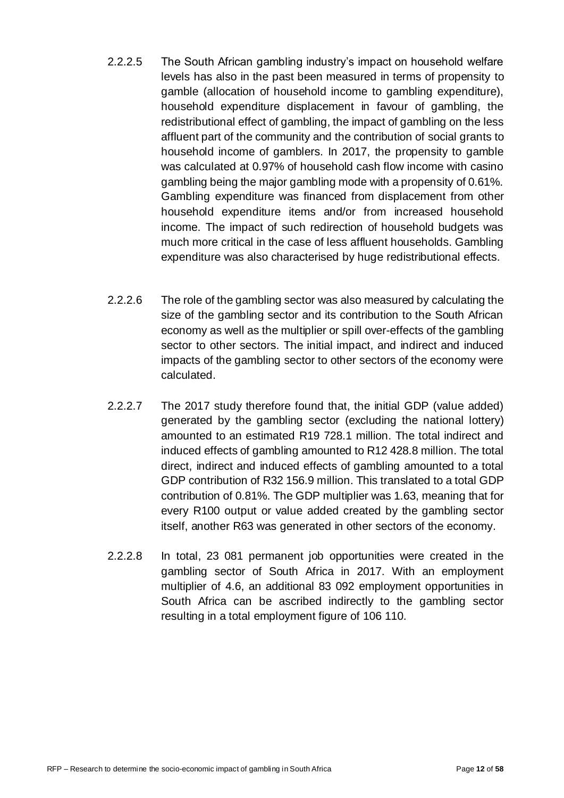- 2.2.2.5 The South African gambling industry's impact on household welfare levels has also in the past been measured in terms of propensity to gamble (allocation of household income to gambling expenditure), household expenditure displacement in favour of gambling, the redistributional effect of gambling, the impact of gambling on the less affluent part of the community and the contribution of social grants to household income of gamblers. In 2017, the propensity to gamble was calculated at 0.97% of household cash flow income with casino gambling being the major gambling mode with a propensity of 0.61%. Gambling expenditure was financed from displacement from other household expenditure items and/or from increased household income. The impact of such redirection of household budgets was much more critical in the case of less affluent households. Gambling expenditure was also characterised by huge redistributional effects.
- 2.2.2.6 The role of the gambling sector was also measured by calculating the size of the gambling sector and its contribution to the South African economy as well as the multiplier or spill over-effects of the gambling sector to other sectors. The initial impact, and indirect and induced impacts of the gambling sector to other sectors of the economy were calculated.
- 2.2.2.7 The 2017 study therefore found that, the initial GDP (value added) generated by the gambling sector (excluding the national lottery) amounted to an estimated R19 728.1 million. The total indirect and induced effects of gambling amounted to R12 428.8 million. The total direct, indirect and induced effects of gambling amounted to a total GDP contribution of R32 156.9 million. This translated to a total GDP contribution of 0.81%. The GDP multiplier was 1.63, meaning that for every R100 output or value added created by the gambling sector itself, another R63 was generated in other sectors of the economy.
- 2.2.2.8 In total, 23 081 permanent job opportunities were created in the gambling sector of South Africa in 2017. With an employment multiplier of 4.6, an additional 83 092 employment opportunities in South Africa can be ascribed indirectly to the gambling sector resulting in a total employment figure of 106 110.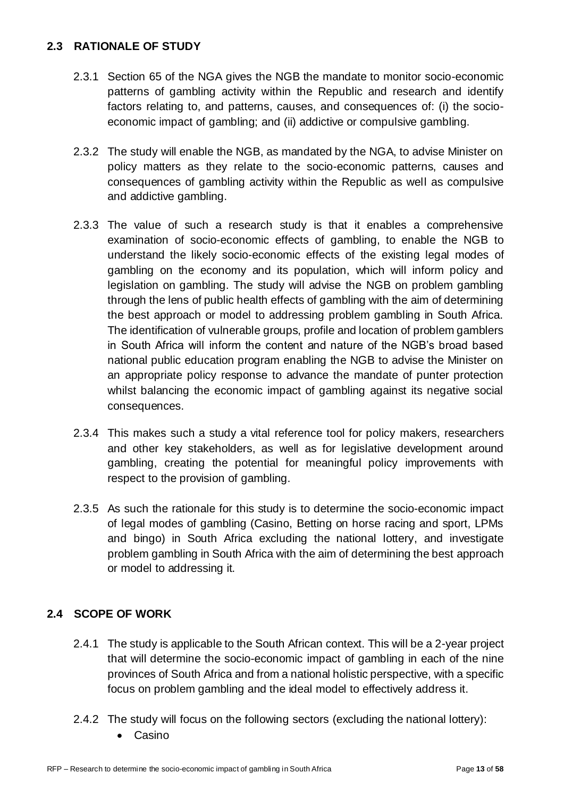#### **2.3 RATIONALE OF STUDY**

- 2.3.1 Section 65 of the NGA gives the NGB the mandate to monitor socio-economic patterns of gambling activity within the Republic and research and identify factors relating to, and patterns, causes, and consequences of: (i) the socioeconomic impact of gambling; and (ii) addictive or compulsive gambling.
- 2.3.2 The study will enable the NGB, as mandated by the NGA, to advise Minister on policy matters as they relate to the socio-economic patterns, causes and consequences of gambling activity within the Republic as well as compulsive and addictive gambling.
- 2.3.3 The value of such a research study is that it enables a comprehensive examination of socio-economic effects of gambling, to enable the NGB to understand the likely socio-economic effects of the existing legal modes of gambling on the economy and its population, which will inform policy and legislation on gambling. The study will advise the NGB on problem gambling through the lens of public health effects of gambling with the aim of determining the best approach or model to addressing problem gambling in South Africa. The identification of vulnerable groups, profile and location of problem gamblers in South Africa will inform the content and nature of the NGB's broad based national public education program enabling the NGB to advise the Minister on an appropriate policy response to advance the mandate of punter protection whilst balancing the economic impact of gambling against its negative social consequences.
- 2.3.4 This makes such a study a vital reference tool for policy makers, researchers and other key stakeholders, as well as for legislative development around gambling, creating the potential for meaningful policy improvements with respect to the provision of gambling.
- 2.3.5 As such the rationale for this study is to determine the socio-economic impact of legal modes of gambling (Casino, Betting on horse racing and sport, LPMs and bingo) in South Africa excluding the national lottery, and investigate problem gambling in South Africa with the aim of determining the best approach or model to addressing it.

#### **2.4 SCOPE OF WORK**

- 2.4.1 The study is applicable to the South African context. This will be a 2-year project that will determine the socio-economic impact of gambling in each of the nine provinces of South Africa and from a national holistic perspective, with a specific focus on problem gambling and the ideal model to effectively address it.
- 2.4.2 The study will focus on the following sectors (excluding the national lottery):
	- Casino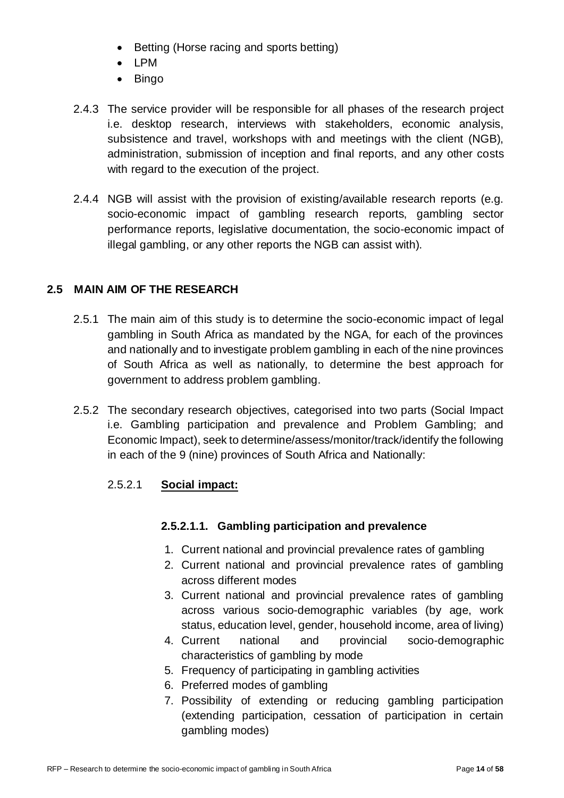- Betting (Horse racing and sports betting)
- LPM
- Bingo
- 2.4.3 The service provider will be responsible for all phases of the research project i.e. desktop research, interviews with stakeholders, economic analysis, subsistence and travel, workshops with and meetings with the client (NGB), administration, submission of inception and final reports, and any other costs with regard to the execution of the project.
- 2.4.4 NGB will assist with the provision of existing/available research reports (e.g. socio-economic impact of gambling research reports, gambling sector performance reports, legislative documentation, the socio-economic impact of illegal gambling, or any other reports the NGB can assist with).

#### **2.5 MAIN AIM OF THE RESEARCH**

- 2.5.1 The main aim of this study is to determine the socio-economic impact of legal gambling in South Africa as mandated by the NGA, for each of the provinces and nationally and to investigate problem gambling in each of the nine provinces of South Africa as well as nationally, to determine the best approach for government to address problem gambling.
- 2.5.2 The secondary research objectives, categorised into two parts (Social Impact i.e. Gambling participation and prevalence and Problem Gambling; and Economic Impact), seek to determine/assess/monitor/track/identify the following in each of the 9 (nine) provinces of South Africa and Nationally:

#### 2.5.2.1 **Social impact:**

#### **2.5.2.1.1. Gambling participation and prevalence**

- 1. Current national and provincial prevalence rates of gambling
- 2. Current national and provincial prevalence rates of gambling across different modes
- 3. Current national and provincial prevalence rates of gambling across various socio-demographic variables (by age, work status, education level, gender, household income, area of living)
- 4. Current national and provincial socio-demographic characteristics of gambling by mode
- 5. Frequency of participating in gambling activities
- 6. Preferred modes of gambling
- 7. Possibility of extending or reducing gambling participation (extending participation, cessation of participation in certain gambling modes)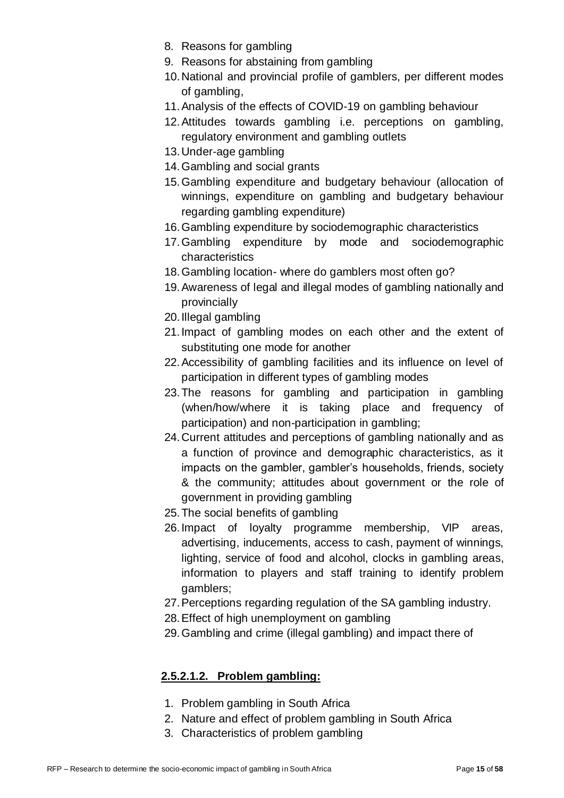- 8. Reasons for gambling
- 9. Reasons for abstaining from gambling
- 10.National and provincial profile of gamblers, per different modes of gambling,
- 11.Analysis of the effects of COVID-19 on gambling behaviour
- 12.Attitudes towards gambling i.e. perceptions on gambling, regulatory environment and gambling outlets
- 13.Under-age gambling
- 14.Gambling and social grants
- 15.Gambling expenditure and budgetary behaviour (allocation of winnings, expenditure on gambling and budgetary behaviour regarding gambling expenditure)
- 16.Gambling expenditure by sociodemographic characteristics
- 17.Gambling expenditure by mode and sociodemographic characteristics
- 18.Gambling location- where do gamblers most often go?
- 19.Awareness of legal and illegal modes of gambling nationally and provincially
- 20.Illegal gambling
- 21.Impact of gambling modes on each other and the extent of substituting one mode for another
- 22.Accessibility of gambling facilities and its influence on level of participation in different types of gambling modes
- 23.The reasons for gambling and participation in gambling (when/how/where it is taking place and frequency of participation) and non-participation in gambling;
- 24.Current attitudes and perceptions of gambling nationally and as a function of province and demographic characteristics, as it impacts on the gambler, gambler's households, friends, society & the community; attitudes about government or the role of government in providing gambling
- 25.The social benefits of gambling
- 26.Impact of loyalty programme membership, VIP areas, advertising, inducements, access to cash, payment of winnings, lighting, service of food and alcohol, clocks in gambling areas, information to players and staff training to identify problem gamblers;
- 27.Perceptions regarding regulation of the SA gambling industry.
- 28.Effect of high unemployment on gambling
- 29.Gambling and crime (illegal gambling) and impact there of

#### **2.5.2.1.2. Problem gambling:**

- 1. Problem gambling in South Africa
- 2. Nature and effect of problem gambling in South Africa
- 3. Characteristics of problem gambling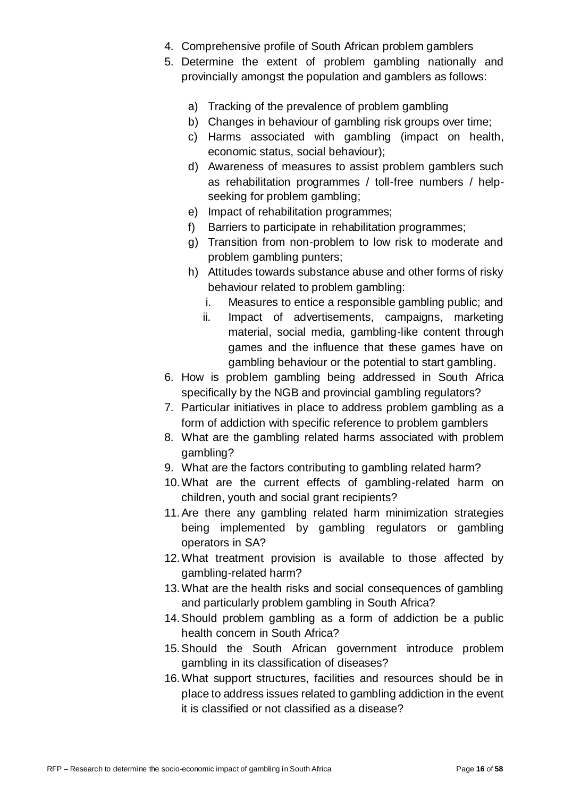- 4. Comprehensive profile of South African problem gamblers
- 5. Determine the extent of problem gambling nationally and provincially amongst the population and gamblers as follows:
	- a) Tracking of the prevalence of problem gambling
	- b) Changes in behaviour of gambling risk groups over time;
	- c) Harms associated with gambling (impact on health, economic status, social behaviour);
	- d) Awareness of measures to assist problem gamblers such as rehabilitation programmes / toll-free numbers / helpseeking for problem gambling;
	- e) Impact of rehabilitation programmes;
	- f) Barriers to participate in rehabilitation programmes;
	- g) Transition from non-problem to low risk to moderate and problem gambling punters;
	- h) Attitudes towards substance abuse and other forms of risky behaviour related to problem gambling:
		- i. Measures to entice a responsible gambling public; and
		- ii. Impact of advertisements, campaigns, marketing material, social media, gambling-like content through games and the influence that these games have on gambling behaviour or the potential to start gambling.
- 6. How is problem gambling being addressed in South Africa specifically by the NGB and provincial gambling regulators?
- 7. Particular initiatives in place to address problem gambling as a form of addiction with specific reference to problem gamblers
- 8. What are the gambling related harms associated with problem gambling?
- 9. What are the factors contributing to gambling related harm?
- 10.What are the current effects of gambling-related harm on children, youth and social grant recipients?
- 11.Are there any gambling related harm minimization strategies being implemented by gambling regulators or gambling operators in SA?
- 12.What treatment provision is available to those affected by gambling-related harm?
- 13.What are the health risks and social consequences of gambling and particularly problem gambling in South Africa?
- 14.Should problem gambling as a form of addiction be a public health concern in South Africa?
- 15.Should the South African government introduce problem gambling in its classification of diseases?
- 16.What support structures, facilities and resources should be in place to address issues related to gambling addiction in the event it is classified or not classified as a disease?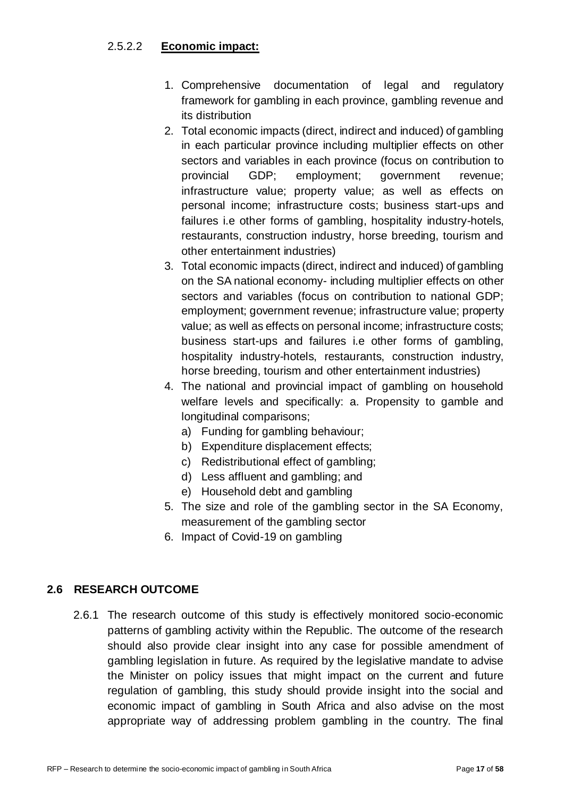#### 2.5.2.2 **Economic impact:**

- 1. Comprehensive documentation of legal and regulatory framework for gambling in each province, gambling revenue and its distribution
- 2. Total economic impacts (direct, indirect and induced) of gambling in each particular province including multiplier effects on other sectors and variables in each province (focus on contribution to provincial GDP; employment; government revenue; infrastructure value; property value; as well as effects on personal income; infrastructure costs; business start-ups and failures i.e other forms of gambling, hospitality industry-hotels, restaurants, construction industry, horse breeding, tourism and other entertainment industries)
- 3. Total economic impacts (direct, indirect and induced) of gambling on the SA national economy- including multiplier effects on other sectors and variables (focus on contribution to national GDP; employment; government revenue; infrastructure value; property value; as well as effects on personal income; infrastructure costs; business start-ups and failures i.e other forms of gambling, hospitality industry-hotels, restaurants, construction industry, horse breeding, tourism and other entertainment industries)
- 4. The national and provincial impact of gambling on household welfare levels and specifically: a. Propensity to gamble and longitudinal comparisons;
	- a) Funding for gambling behaviour;
	- b) Expenditure displacement effects;
	- c) Redistributional effect of gambling;
	- d) Less affluent and gambling; and
	- e) Household debt and gambling
- 5. The size and role of the gambling sector in the SA Economy, measurement of the gambling sector
- 6. Impact of Covid-19 on gambling

#### **2.6 RESEARCH OUTCOME**

2.6.1 The research outcome of this study is effectively monitored socio-economic patterns of gambling activity within the Republic. The outcome of the research should also provide clear insight into any case for possible amendment of gambling legislation in future. As required by the legislative mandate to advise the Minister on policy issues that might impact on the current and future regulation of gambling, this study should provide insight into the social and economic impact of gambling in South Africa and also advise on the most appropriate way of addressing problem gambling in the country. The final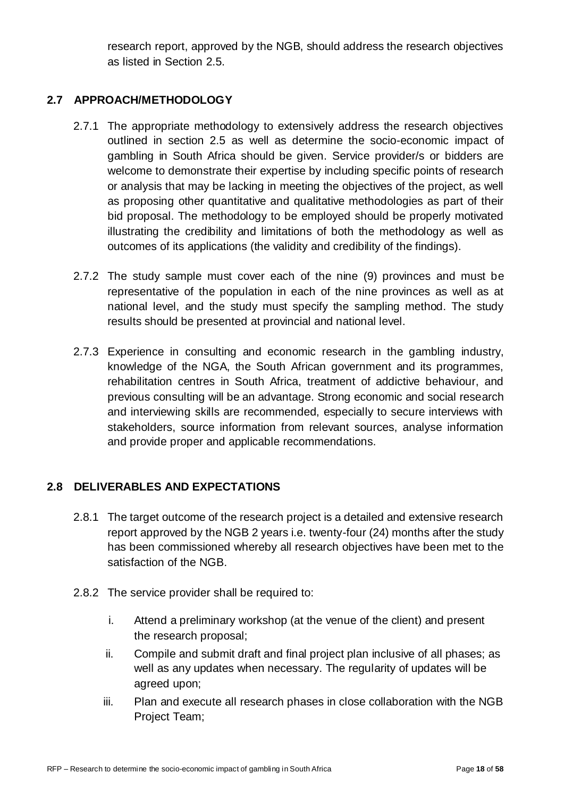research report, approved by the NGB, should address the research objectives as listed in Section 2.5.

#### **2.7 APPROACH/METHODOLOGY**

- 2.7.1 The appropriate methodology to extensively address the research objectives outlined in section 2.5 as well as determine the socio-economic impact of gambling in South Africa should be given. Service provider/s or bidders are welcome to demonstrate their expertise by including specific points of research or analysis that may be lacking in meeting the objectives of the project, as well as proposing other quantitative and qualitative methodologies as part of their bid proposal. The methodology to be employed should be properly motivated illustrating the credibility and limitations of both the methodology as well as outcomes of its applications (the validity and credibility of the findings).
- 2.7.2 The study sample must cover each of the nine (9) provinces and must be representative of the population in each of the nine provinces as well as at national level, and the study must specify the sampling method. The study results should be presented at provincial and national level.
- 2.7.3 Experience in consulting and economic research in the gambling industry, knowledge of the NGA, the South African government and its programmes, rehabilitation centres in South Africa, treatment of addictive behaviour, and previous consulting will be an advantage. Strong economic and social research and interviewing skills are recommended, especially to secure interviews with stakeholders, source information from relevant sources, analyse information and provide proper and applicable recommendations.

#### **2.8 DELIVERABLES AND EXPECTATIONS**

- 2.8.1 The target outcome of the research project is a detailed and extensive research report approved by the NGB 2 years i.e. twenty-four (24) months after the study has been commissioned whereby all research objectives have been met to the satisfaction of the NGB.
- 2.8.2 The service provider shall be required to:
	- i. Attend a preliminary workshop (at the venue of the client) and present the research proposal;
	- ii. Compile and submit draft and final project plan inclusive of all phases; as well as any updates when necessary. The regularity of updates will be agreed upon;
	- iii. Plan and execute all research phases in close collaboration with the NGB Project Team;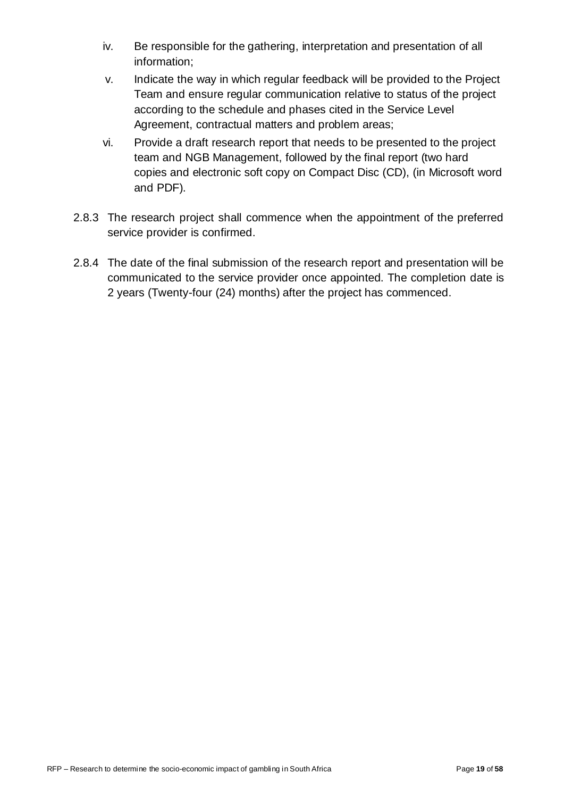- iv. Be responsible for the gathering, interpretation and presentation of all information;
- v. Indicate the way in which regular feedback will be provided to the Project Team and ensure regular communication relative to status of the project according to the schedule and phases cited in the Service Level Agreement, contractual matters and problem areas;
- vi. Provide a draft research report that needs to be presented to the project team and NGB Management, followed by the final report (two hard copies and electronic soft copy on Compact Disc (CD), (in Microsoft word and PDF).
- 2.8.3 The research project shall commence when the appointment of the preferred service provider is confirmed.
- 2.8.4 The date of the final submission of the research report and presentation will be communicated to the service provider once appointed. The completion date is 2 years (Twenty-four (24) months) after the project has commenced.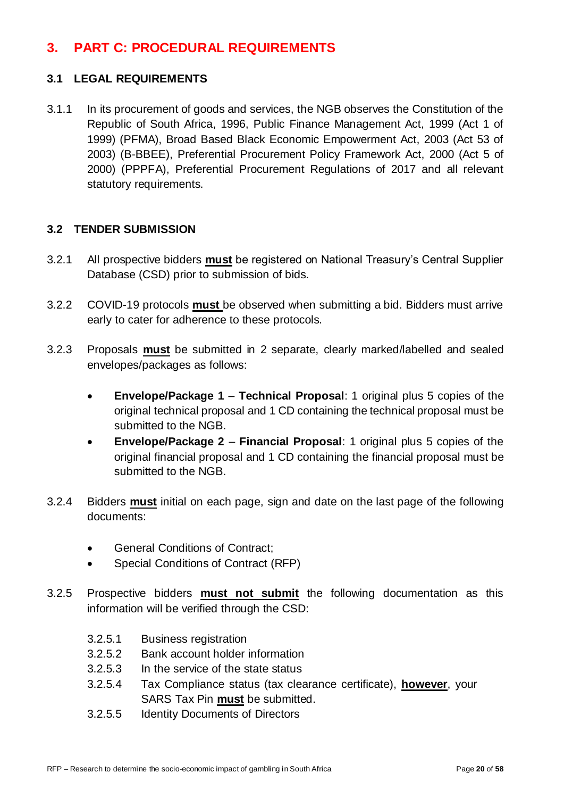# <span id="page-19-0"></span>**3. PART C: PROCEDURAL REQUIREMENTS**

#### **3.1 LEGAL REQUIREMENTS**

3.1.1 In its procurement of goods and services, the NGB observes the Constitution of the Republic of South Africa, 1996, Public Finance Management Act, 1999 (Act 1 of 1999) (PFMA), Broad Based Black Economic Empowerment Act, 2003 (Act 53 of 2003) (B-BBEE), Preferential Procurement Policy Framework Act, 2000 (Act 5 of 2000) (PPPFA), Preferential Procurement Regulations of 2017 and all relevant statutory requirements.

#### **3.2 TENDER SUBMISSION**

- 3.2.1 All prospective bidders **must** be registered on National Treasury's Central Supplier Database (CSD) prior to submission of bids.
- 3.2.2 COVID-19 protocols **must** be observed when submitting a bid. Bidders must arrive early to cater for adherence to these protocols.
- 3.2.3 Proposals **must** be submitted in 2 separate, clearly marked/labelled and sealed envelopes/packages as follows:
	- **Envelope/Package 1 Technical Proposal**: 1 original plus 5 copies of the original technical proposal and 1 CD containing the technical proposal must be submitted to the NGB.
	- **Envelope/Package 2 Financial Proposal**: 1 original plus 5 copies of the original financial proposal and 1 CD containing the financial proposal must be submitted to the NGB.
- 3.2.4 Bidders **must** initial on each page, sign and date on the last page of the following documents:
	- General Conditions of Contract:
	- Special Conditions of Contract (RFP)
- 3.2.5 Prospective bidders **must not submit** the following documentation as this information will be verified through the CSD:
	- 3.2.5.1 Business registration
	- 3.2.5.2 Bank account holder information
	- 3.2.5.3 In the service of the state status
	- 3.2.5.4 Tax Compliance status (tax clearance certificate), **however**, your SARS Tax Pin **must** be submitted.
	- 3.2.5.5 Identity Documents of Directors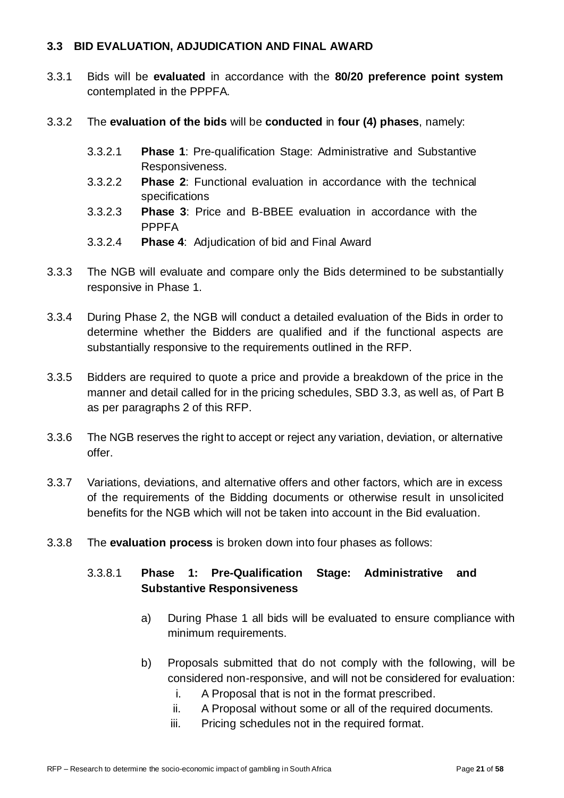#### **3.3 BID EVALUATION, ADJUDICATION AND FINAL AWARD**

- 3.3.1 Bids will be **evaluated** in accordance with the **80/20 preference point system** contemplated in the PPPFA.
- 3.3.2 The **evaluation of the bids** will be **conducted** in **four (4) phases**, namely:
	- 3.3.2.1 **Phase 1**: Pre-qualification Stage: Administrative and Substantive Responsiveness.
	- 3.3.2.2 **Phase 2**: Functional evaluation in accordance with the technical specifications
	- 3.3.2.3 **Phase 3**: Price and B-BBEE evaluation in accordance with the PPPFA
	- 3.3.2.4 **Phase 4**: Adjudication of bid and Final Award
- 3.3.3 The NGB will evaluate and compare only the Bids determined to be substantially responsive in Phase 1.
- 3.3.4 During Phase 2, the NGB will conduct a detailed evaluation of the Bids in order to determine whether the Bidders are qualified and if the functional aspects are substantially responsive to the requirements outlined in the RFP.
- 3.3.5 Bidders are required to quote a price and provide a breakdown of the price in the manner and detail called for in the pricing schedules, SBD 3.3, as well as, of Part B as per paragraphs 2 of this RFP.
- 3.3.6 The NGB reserves the right to accept or reject any variation, deviation, or alternative offer.
- 3.3.7 Variations, deviations, and alternative offers and other factors, which are in excess of the requirements of the Bidding documents or otherwise result in unsolicited benefits for the NGB which will not be taken into account in the Bid evaluation.
- 3.3.8 The **evaluation process** is broken down into four phases as follows:

#### 3.3.8.1 **Phase 1: Pre-Qualification Stage: Administrative and Substantive Responsiveness**

- a) During Phase 1 all bids will be evaluated to ensure compliance with minimum requirements.
- b) Proposals submitted that do not comply with the following, will be considered non-responsive, and will not be considered for evaluation:
	- i. A Proposal that is not in the format prescribed.
	- ii. A Proposal without some or all of the required documents.
	- iii. Pricing schedules not in the required format.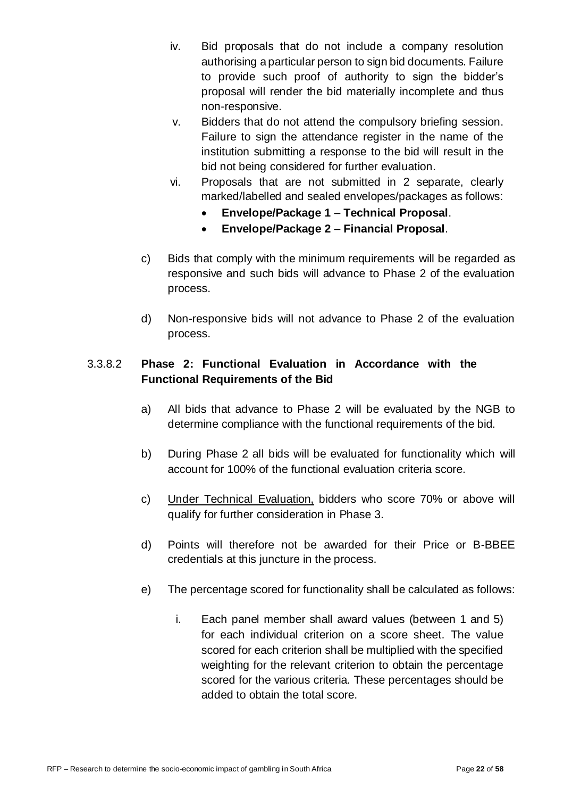- iv. Bid proposals that do not include a company resolution authorising a particular person to sign bid documents. Failure to provide such proof of authority to sign the bidder's proposal will render the bid materially incomplete and thus non-responsive.
- v. Bidders that do not attend the compulsory briefing session. Failure to sign the attendance register in the name of the institution submitting a response to the bid will result in the bid not being considered for further evaluation.
- vi. Proposals that are not submitted in 2 separate, clearly marked/labelled and sealed envelopes/packages as follows:
	- **Envelope/Package 1 Technical Proposal**.
	- **Envelope/Package 2 Financial Proposal**.
- c) Bids that comply with the minimum requirements will be regarded as responsive and such bids will advance to Phase 2 of the evaluation process.
- d) Non-responsive bids will not advance to Phase 2 of the evaluation process.

#### 3.3.8.2 **Phase 2: Functional Evaluation in Accordance with the Functional Requirements of the Bid**

- a) All bids that advance to Phase 2 will be evaluated by the NGB to determine compliance with the functional requirements of the bid.
- b) During Phase 2 all bids will be evaluated for functionality which will account for 100% of the functional evaluation criteria score.
- c) Under Technical Evaluation, bidders who score 70% or above will qualify for further consideration in Phase 3.
- d) Points will therefore not be awarded for their Price or B-BBEE credentials at this juncture in the process.
- e) The percentage scored for functionality shall be calculated as follows:
	- i. Each panel member shall award values (between 1 and 5) for each individual criterion on a score sheet. The value scored for each criterion shall be multiplied with the specified weighting for the relevant criterion to obtain the percentage scored for the various criteria. These percentages should be added to obtain the total score.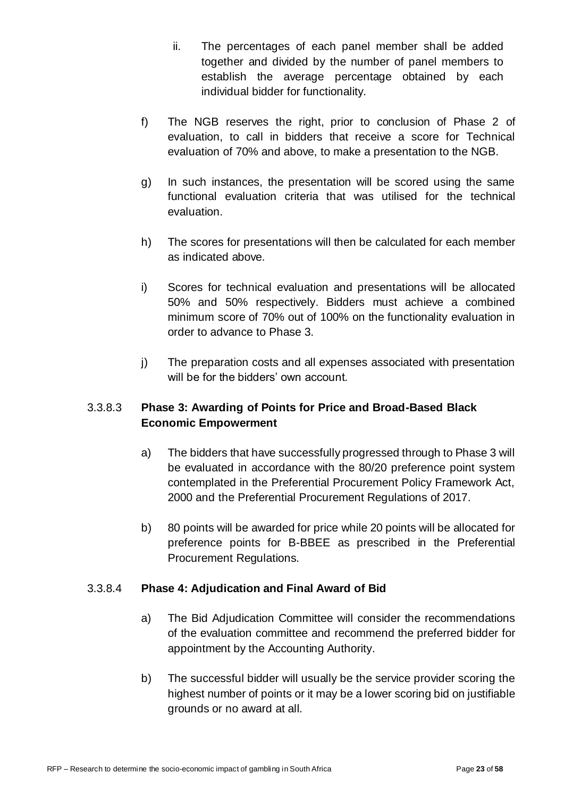- ii. The percentages of each panel member shall be added together and divided by the number of panel members to establish the average percentage obtained by each individual bidder for functionality.
- f) The NGB reserves the right, prior to conclusion of Phase 2 of evaluation, to call in bidders that receive a score for Technical evaluation of 70% and above, to make a presentation to the NGB.
- g) In such instances, the presentation will be scored using the same functional evaluation criteria that was utilised for the technical evaluation.
- h) The scores for presentations will then be calculated for each member as indicated above.
- i) Scores for technical evaluation and presentations will be allocated 50% and 50% respectively. Bidders must achieve a combined minimum score of 70% out of 100% on the functionality evaluation in order to advance to Phase 3.
- j) The preparation costs and all expenses associated with presentation will be for the bidders' own account.

#### 3.3.8.3 **Phase 3: Awarding of Points for Price and Broad-Based Black Economic Empowerment**

- a) The bidders that have successfully progressed through to Phase 3 will be evaluated in accordance with the 80/20 preference point system contemplated in the Preferential Procurement Policy Framework Act, 2000 and the Preferential Procurement Regulations of 2017.
- b) 80 points will be awarded for price while 20 points will be allocated for preference points for B-BBEE as prescribed in the Preferential Procurement Regulations.

#### 3.3.8.4 **Phase 4: Adjudication and Final Award of Bid**

- a) The Bid Adjudication Committee will consider the recommendations of the evaluation committee and recommend the preferred bidder for appointment by the Accounting Authority.
- b) The successful bidder will usually be the service provider scoring the highest number of points or it may be a lower scoring bid on justifiable grounds or no award at all.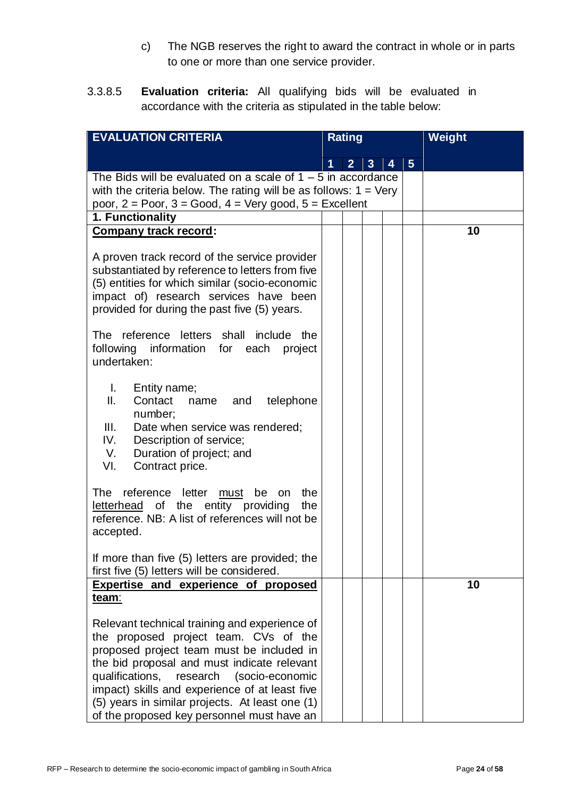- c) The NGB reserves the right to award the contract in whole or in parts to one or more than one service provider.
- 3.3.8.5 **Evaluation criteria:** All qualifying bids will be evaluated in accordance with the criteria as stipulated in the table below:

| <b>EVALUATION CRITERIA</b>                                                                                                                                                                                                                                                                                                                                                        |   | <b>Rating</b>  |                |                |                | <b>Weight</b> |
|-----------------------------------------------------------------------------------------------------------------------------------------------------------------------------------------------------------------------------------------------------------------------------------------------------------------------------------------------------------------------------------|---|----------------|----------------|----------------|----------------|---------------|
|                                                                                                                                                                                                                                                                                                                                                                                   | 1 | $\overline{2}$ | $\overline{3}$ | $\overline{4}$ | $5\phantom{1}$ |               |
| The Bids will be evaluated on a scale of $1 - 5$ in accordance<br>with the criteria below. The rating will be as follows: $1 = \text{Very}$<br>poor, $2 = P$ oor, $3 = Good$ , $4 = Very good$ , $5 = Excellent$                                                                                                                                                                  |   |                |                |                |                |               |
| 1. Functionality                                                                                                                                                                                                                                                                                                                                                                  |   |                |                |                |                |               |
| <b>Company track record:</b>                                                                                                                                                                                                                                                                                                                                                      |   |                |                |                |                | 10            |
| A proven track record of the service provider<br>substantiated by reference to letters from five<br>(5) entities for which similar (socio-economic<br>impact of) research services have been<br>provided for during the past five (5) years.                                                                                                                                      |   |                |                |                |                |               |
| The reference letters shall include the<br>following information for each<br>project<br>undertaken:                                                                                                                                                                                                                                                                               |   |                |                |                |                |               |
| L.<br>Entity name;<br>Ⅱ.<br>Contact<br>telephone<br>and<br>name<br>number;<br>Ш.<br>Date when service was rendered;<br>IV.<br>Description of service;<br>Duration of project; and<br>V.<br>VI.<br>Contract price.                                                                                                                                                                 |   |                |                |                |                |               |
| reference letter<br>The<br>be<br>the<br>must<br>on<br>letterhead of the entity providing<br>the<br>reference. NB: A list of references will not be<br>accepted.                                                                                                                                                                                                                   |   |                |                |                |                |               |
| If more than five (5) letters are provided; the<br>first five (5) letters will be considered.                                                                                                                                                                                                                                                                                     |   |                |                |                |                |               |
| Expertise and experience of proposed                                                                                                                                                                                                                                                                                                                                              |   |                |                |                |                | 10            |
| <u>team:</u>                                                                                                                                                                                                                                                                                                                                                                      |   |                |                |                |                |               |
| Relevant technical training and experience of<br>the proposed project team. CVs of the<br>proposed project team must be included in<br>the bid proposal and must indicate relevant<br>qualifications, research (socio-economic<br>impact) skills and experience of at least five<br>(5) years in similar projects. At least one (1)<br>of the proposed key personnel must have an |   |                |                |                |                |               |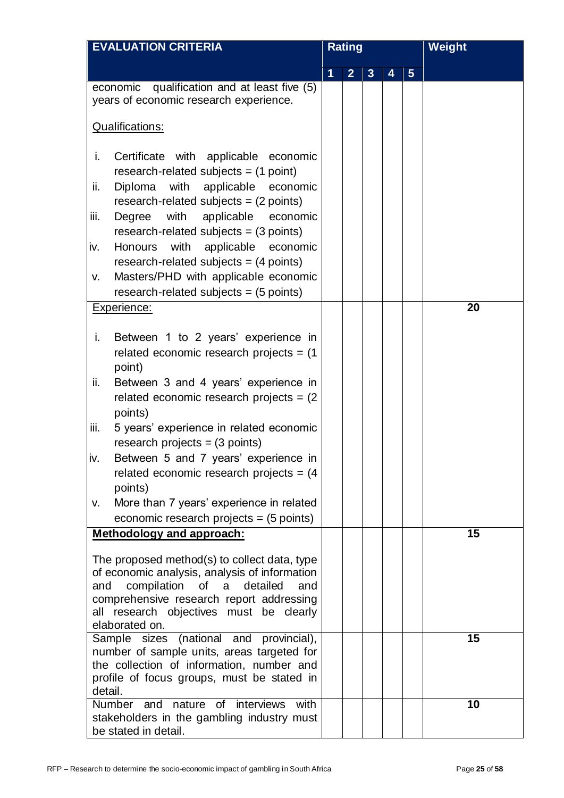| <b>EVALUATION CRITERIA</b>                                                                                                                                                                                                                              | <b>Rating</b> |                |                |   |                | <b>Weight</b> |
|---------------------------------------------------------------------------------------------------------------------------------------------------------------------------------------------------------------------------------------------------------|---------------|----------------|----------------|---|----------------|---------------|
|                                                                                                                                                                                                                                                         | 1             | $\overline{2}$ | 3 <sup>1</sup> | 4 | $5\phantom{.}$ |               |
| economic qualification and at least five (5)<br>years of economic research experience.                                                                                                                                                                  |               |                |                |   |                |               |
| <b>Qualifications:</b>                                                                                                                                                                                                                                  |               |                |                |   |                |               |
| i.<br>Certificate with applicable economic<br>research-related subjects = $(1 point)$<br>with applicable economic<br>ii.<br>Diploma<br>research-related subjects = $(2 \text{ points})$<br>iii.<br>Degree<br>with<br>applicable<br>economic             |               |                |                |   |                |               |
| research-related subjects = $(3 \text{ points})$<br>with applicable economic<br>Honours<br>iv.<br>research-related subjects = $(4$ points)<br>Masters/PHD with applicable economic<br>V.<br>research-related subjects = $(5$ points)                    |               |                |                |   |                |               |
| Experience:                                                                                                                                                                                                                                             |               |                |                |   |                | 20            |
| i.<br>Between 1 to 2 years' experience in<br>related economic research projects = $(1)$<br>point)                                                                                                                                                       |               |                |                |   |                |               |
| ii.<br>Between 3 and 4 years' experience in<br>related economic research projects = $(2)$<br>points)                                                                                                                                                    |               |                |                |   |                |               |
| iii.<br>5 years' experience in related economic<br>research projects = $(3$ points)                                                                                                                                                                     |               |                |                |   |                |               |
| Between 5 and 7 years' experience in<br>iv.<br>related economic research projects = $(4)$<br>points)                                                                                                                                                    |               |                |                |   |                |               |
| More than 7 years' experience in related<br>V.<br>economic research projects = $(5$ points)                                                                                                                                                             |               |                |                |   |                |               |
| Methodology and approach:                                                                                                                                                                                                                               |               |                |                |   |                | 15            |
| The proposed method(s) to collect data, type<br>of economic analysis, analysis of information<br>compilation of<br>and<br>a<br>detailed<br>and<br>comprehensive research report addressing<br>all research objectives must be clearly<br>elaborated on. |               |                |                |   |                |               |
| (national and provincial),<br>Sample sizes<br>number of sample units, areas targeted for<br>the collection of information, number and<br>profile of focus groups, must be stated in<br>detail.                                                          |               |                |                |   |                | 15            |
| interviews<br>with<br>Number and<br>nature<br>of<br>stakeholders in the gambling industry must<br>be stated in detail.                                                                                                                                  |               |                |                |   |                | 10            |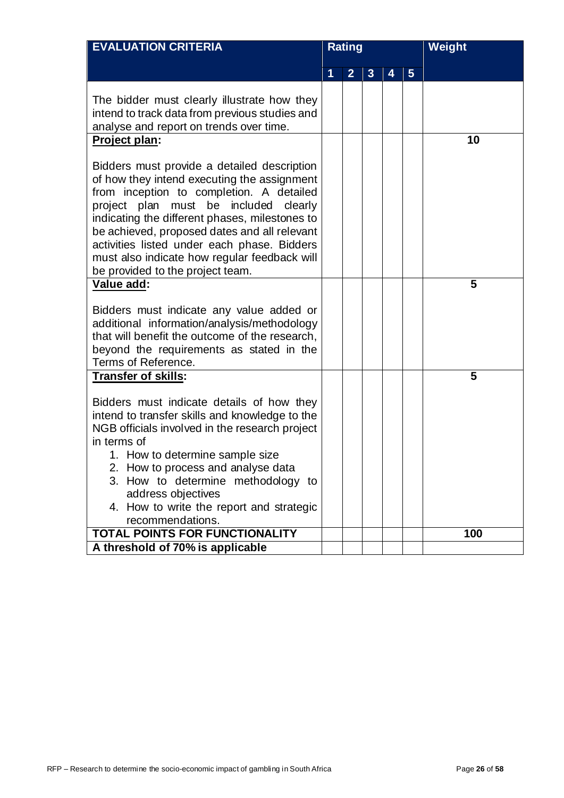|                | Weight |
|----------------|--------|
| $5\phantom{.}$ |        |
|                |        |
|                | 10     |
|                |        |
|                | 5      |
|                |        |
|                | 5      |
|                |        |
|                |        |
|                |        |
|                |        |
|                | 100    |
|                |        |
|                |        |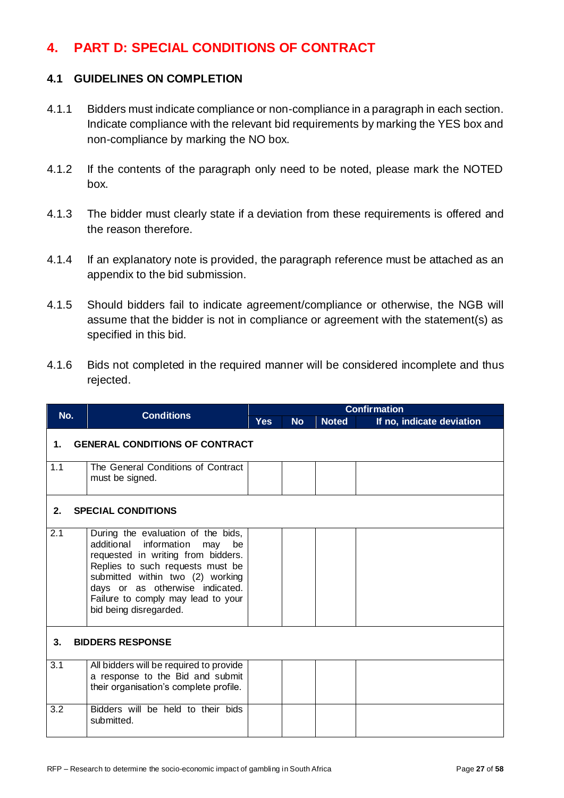# <span id="page-26-0"></span>**4. PART D: SPECIAL CONDITIONS OF CONTRACT**

#### **4.1 GUIDELINES ON COMPLETION**

- 4.1.1 Bidders must indicate compliance or non-compliance in a paragraph in each section. Indicate compliance with the relevant bid requirements by marking the YES box and non-compliance by marking the NO box.
- 4.1.2 If the contents of the paragraph only need to be noted, please mark the NOTED box.
- 4.1.3 The bidder must clearly state if a deviation from these requirements is offered and the reason therefore.
- 4.1.4 If an explanatory note is provided, the paragraph reference must be attached as an appendix to the bid submission.
- 4.1.5 Should bidders fail to indicate agreement/compliance or otherwise, the NGB will assume that the bidder is not in compliance or agreement with the statement(s) as specified in this bid.
- 4.1.6 Bids not completed in the required manner will be considered incomplete and thus rejected.

|     |                                       |                                                                                                                                                                                                                                                                                            | <b>Confirmation</b> |           |              |                           |  |  |  |  |
|-----|---------------------------------------|--------------------------------------------------------------------------------------------------------------------------------------------------------------------------------------------------------------------------------------------------------------------------------------------|---------------------|-----------|--------------|---------------------------|--|--|--|--|
| No. |                                       | <b>Conditions</b>                                                                                                                                                                                                                                                                          | <b>Yes</b>          | <b>No</b> | <b>Noted</b> | If no, indicate deviation |  |  |  |  |
| 1.  | <b>GENERAL CONDITIONS OF CONTRACT</b> |                                                                                                                                                                                                                                                                                            |                     |           |              |                           |  |  |  |  |
| 1.1 |                                       | The General Conditions of Contract<br>must be signed.                                                                                                                                                                                                                                      |                     |           |              |                           |  |  |  |  |
| 2.  | <b>SPECIAL CONDITIONS</b>             |                                                                                                                                                                                                                                                                                            |                     |           |              |                           |  |  |  |  |
| 2.1 |                                       | During the evaluation of the bids,<br>additional information<br>be<br>may<br>requested in writing from bidders.<br>Replies to such requests must be<br>submitted within two (2) working<br>days or as otherwise indicated.<br>Failure to comply may lead to your<br>bid being disregarded. |                     |           |              |                           |  |  |  |  |
| 3.  | <b>BIDDERS RESPONSE</b>               |                                                                                                                                                                                                                                                                                            |                     |           |              |                           |  |  |  |  |
| 3.1 |                                       | All bidders will be required to provide<br>a response to the Bid and submit<br>their organisation's complete profile.                                                                                                                                                                      |                     |           |              |                           |  |  |  |  |
| 3.2 |                                       | Bidders will be held to their bids<br>submitted.                                                                                                                                                                                                                                           |                     |           |              |                           |  |  |  |  |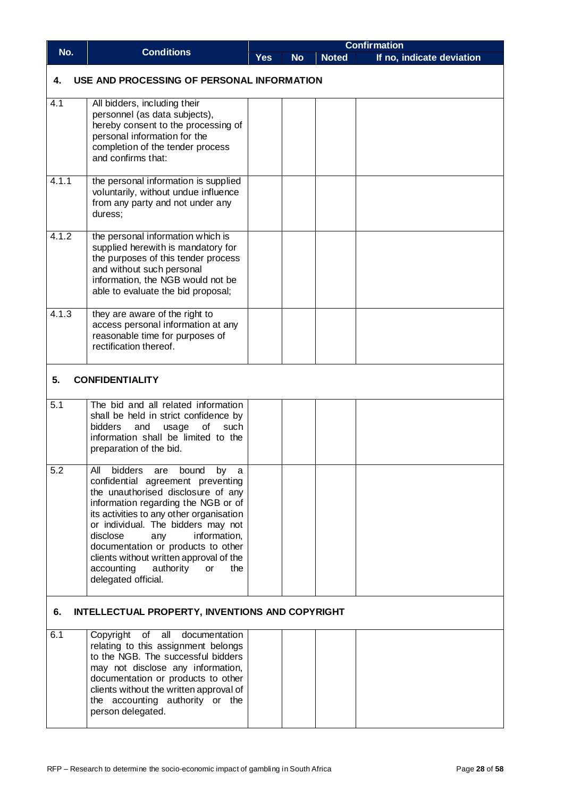|                                                       |                                                                                                                                                                                                                                                                                                                                                                                                                               | <b>Confirmation</b> |           |              |                           |  |  |  |  |
|-------------------------------------------------------|-------------------------------------------------------------------------------------------------------------------------------------------------------------------------------------------------------------------------------------------------------------------------------------------------------------------------------------------------------------------------------------------------------------------------------|---------------------|-----------|--------------|---------------------------|--|--|--|--|
| No.                                                   | <b>Conditions</b>                                                                                                                                                                                                                                                                                                                                                                                                             | <b>Yes</b>          | <b>No</b> | <b>Noted</b> | If no, indicate deviation |  |  |  |  |
| 4.                                                    | USE AND PROCESSING OF PERSONAL INFORMATION                                                                                                                                                                                                                                                                                                                                                                                    |                     |           |              |                           |  |  |  |  |
| 4.1                                                   | All bidders, including their<br>personnel (as data subjects),<br>hereby consent to the processing of<br>personal information for the<br>completion of the tender process<br>and confirms that:                                                                                                                                                                                                                                |                     |           |              |                           |  |  |  |  |
| 4.1.1                                                 | the personal information is supplied<br>voluntarily, without undue influence<br>from any party and not under any<br>duress;                                                                                                                                                                                                                                                                                                   |                     |           |              |                           |  |  |  |  |
| 4.1.2                                                 | the personal information which is<br>supplied herewith is mandatory for<br>the purposes of this tender process<br>and without such personal<br>information, the NGB would not be<br>able to evaluate the bid proposal;                                                                                                                                                                                                        |                     |           |              |                           |  |  |  |  |
| 4.1.3                                                 | they are aware of the right to<br>access personal information at any<br>reasonable time for purposes of<br>rectification thereof.                                                                                                                                                                                                                                                                                             |                     |           |              |                           |  |  |  |  |
| 5.                                                    | <b>CONFIDENTIALITY</b>                                                                                                                                                                                                                                                                                                                                                                                                        |                     |           |              |                           |  |  |  |  |
| 5.1                                                   | The bid and all related information<br>shall be held in strict confidence by<br>and<br>usage<br>of<br><b>bidders</b><br>such<br>information shall be limited to the<br>preparation of the bid.                                                                                                                                                                                                                                |                     |           |              |                           |  |  |  |  |
| 5.2                                                   | All<br>bidders are<br>bound<br>by<br>a<br>confidential agreement preventing<br>the unauthorised disclosure of any<br>information regarding the NGB or of<br>its activities to any other organisation<br>or individual. The bidders may not<br>disclose<br>information,<br>any<br>documentation or products to other<br>clients without written approval of the<br>accounting<br>authority<br>the<br>or<br>delegated official. |                     |           |              |                           |  |  |  |  |
| INTELLECTUAL PROPERTY, INVENTIONS AND COPYRIGHT<br>6. |                                                                                                                                                                                                                                                                                                                                                                                                                               |                     |           |              |                           |  |  |  |  |
| 6.1                                                   | Copyright<br>of<br>all<br>documentation<br>relating to this assignment belongs<br>to the NGB. The successful bidders<br>may not disclose any information,<br>documentation or products to other<br>clients without the written approval of<br>the accounting authority or the<br>person delegated.                                                                                                                            |                     |           |              |                           |  |  |  |  |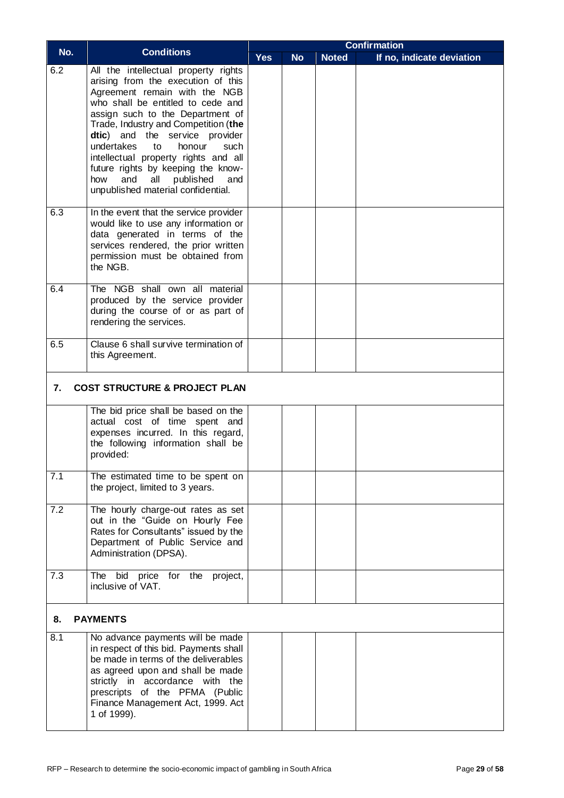|     |                                                                                                                                                                                                                                                                                                                                                                                                                                                                   | <b>Confirmation</b> |           |              |                           |
|-----|-------------------------------------------------------------------------------------------------------------------------------------------------------------------------------------------------------------------------------------------------------------------------------------------------------------------------------------------------------------------------------------------------------------------------------------------------------------------|---------------------|-----------|--------------|---------------------------|
| No. | <b>Conditions</b>                                                                                                                                                                                                                                                                                                                                                                                                                                                 | <b>Yes</b>          | <b>No</b> | <b>Noted</b> | If no, indicate deviation |
| 6.2 | All the intellectual property rights<br>arising from the execution of this<br>Agreement remain with the NGB<br>who shall be entitled to cede and<br>assign such to the Department of<br>Trade, Industry and Competition (the<br>dtic) and the service provider<br>undertakes<br>honour<br>to<br>such<br>intellectual property rights and all<br>future rights by keeping the know-<br>and<br>all<br>published<br>how<br>and<br>unpublished material confidential. |                     |           |              |                           |
| 6.3 | In the event that the service provider<br>would like to use any information or<br>data generated in terms of the<br>services rendered, the prior written<br>permission must be obtained from<br>the NGB.                                                                                                                                                                                                                                                          |                     |           |              |                           |
| 6.4 | The NGB shall own all material<br>produced by the service provider<br>during the course of or as part of<br>rendering the services.                                                                                                                                                                                                                                                                                                                               |                     |           |              |                           |
| 6.5 | Clause 6 shall survive termination of<br>this Agreement.                                                                                                                                                                                                                                                                                                                                                                                                          |                     |           |              |                           |
| 7.  | <b>COST STRUCTURE &amp; PROJECT PLAN</b>                                                                                                                                                                                                                                                                                                                                                                                                                          |                     |           |              |                           |
|     | The bid price shall be based on the<br>actual cost of time spent and<br>expenses incurred. In this regard,<br>the following information shall be<br>provided:                                                                                                                                                                                                                                                                                                     |                     |           |              |                           |
| 7.1 | The estimated time to be spent on<br>the project, limited to 3 years.                                                                                                                                                                                                                                                                                                                                                                                             |                     |           |              |                           |
| 7.2 | The hourly charge-out rates as set<br>out in the "Guide on Hourly Fee<br>Rates for Consultants" issued by the<br>Department of Public Service and<br>Administration (DPSA).                                                                                                                                                                                                                                                                                       |                     |           |              |                           |
| 7.3 | The bid price for the project,<br>inclusive of VAT.                                                                                                                                                                                                                                                                                                                                                                                                               |                     |           |              |                           |
| 8.  | <b>PAYMENTS</b>                                                                                                                                                                                                                                                                                                                                                                                                                                                   |                     |           |              |                           |
| 8.1 | No advance payments will be made<br>in respect of this bid. Payments shall<br>be made in terms of the deliverables<br>as agreed upon and shall be made<br>strictly in accordance with the<br>prescripts of the PFMA (Public<br>Finance Management Act, 1999. Act<br>1 of 1999).                                                                                                                                                                                   |                     |           |              |                           |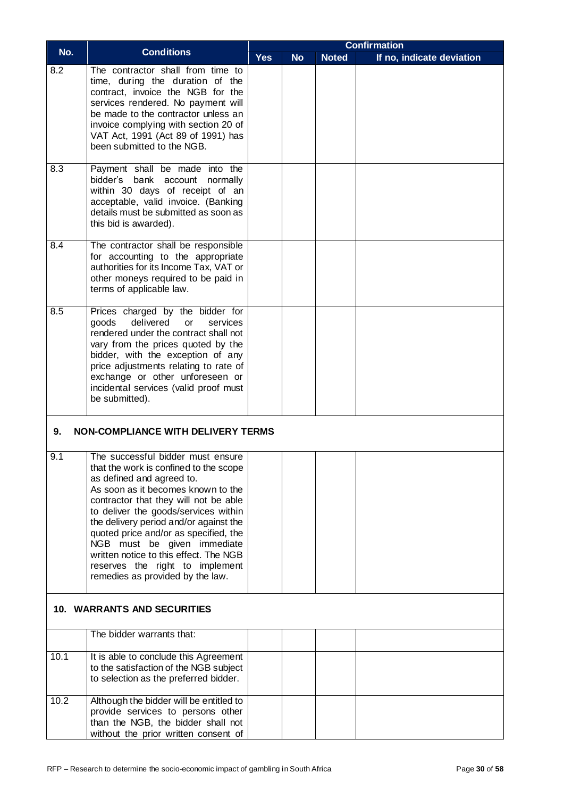|      |                                                                                                                                                                                                                                                                                                                                                                                                                                                                    | <b>Confirmation</b> |           |              |                           |  |  |  |
|------|--------------------------------------------------------------------------------------------------------------------------------------------------------------------------------------------------------------------------------------------------------------------------------------------------------------------------------------------------------------------------------------------------------------------------------------------------------------------|---------------------|-----------|--------------|---------------------------|--|--|--|
| No.  | <b>Conditions</b>                                                                                                                                                                                                                                                                                                                                                                                                                                                  | <b>Yes</b>          | <b>No</b> | <b>Noted</b> | If no, indicate deviation |  |  |  |
| 8.2  | The contractor shall from time to<br>time, during the duration of the<br>contract, invoice the NGB for the<br>services rendered. No payment will<br>be made to the contractor unless an<br>invoice complying with section 20 of<br>VAT Act, 1991 (Act 89 of 1991) has<br>been submitted to the NGB.                                                                                                                                                                |                     |           |              |                           |  |  |  |
| 8.3  | Payment shall be made into the<br>bidder's bank account normally<br>within 30 days of receipt of an<br>acceptable, valid invoice. (Banking<br>details must be submitted as soon as<br>this bid is awarded).                                                                                                                                                                                                                                                        |                     |           |              |                           |  |  |  |
| 8.4  | The contractor shall be responsible<br>for accounting to the appropriate<br>authorities for its Income Tax, VAT or<br>other moneys required to be paid in<br>terms of applicable law.                                                                                                                                                                                                                                                                              |                     |           |              |                           |  |  |  |
| 8.5  | Prices charged by the bidder for<br>delivered<br>goods<br>services<br><b>or</b><br>rendered under the contract shall not<br>vary from the prices quoted by the<br>bidder, with the exception of any<br>price adjustments relating to rate of<br>exchange or other unforeseen or<br>incidental services (valid proof must<br>be submitted).                                                                                                                         |                     |           |              |                           |  |  |  |
| 9.   | <b>NON-COMPLIANCE WITH DELIVERY TERMS</b>                                                                                                                                                                                                                                                                                                                                                                                                                          |                     |           |              |                           |  |  |  |
| 9.1  | The successful bidder must ensure<br>that the work is confined to the scope<br>as defined and agreed to.<br>As soon as it becomes known to the<br>contractor that they will not be able<br>to deliver the goods/services within<br>the delivery period and/or against the<br>quoted price and/or as specified, the<br>NGB must be given immediate<br>written notice to this effect. The NGB<br>reserves the right to implement<br>remedies as provided by the law. |                     |           |              |                           |  |  |  |
|      | <b>10. WARRANTS AND SECURITIES</b>                                                                                                                                                                                                                                                                                                                                                                                                                                 |                     |           |              |                           |  |  |  |
|      | The bidder warrants that:                                                                                                                                                                                                                                                                                                                                                                                                                                          |                     |           |              |                           |  |  |  |
| 10.1 | It is able to conclude this Agreement<br>to the satisfaction of the NGB subject<br>to selection as the preferred bidder.                                                                                                                                                                                                                                                                                                                                           |                     |           |              |                           |  |  |  |
| 10.2 | Although the bidder will be entitled to<br>provide services to persons other<br>than the NGB, the bidder shall not<br>without the prior written consent of                                                                                                                                                                                                                                                                                                         |                     |           |              |                           |  |  |  |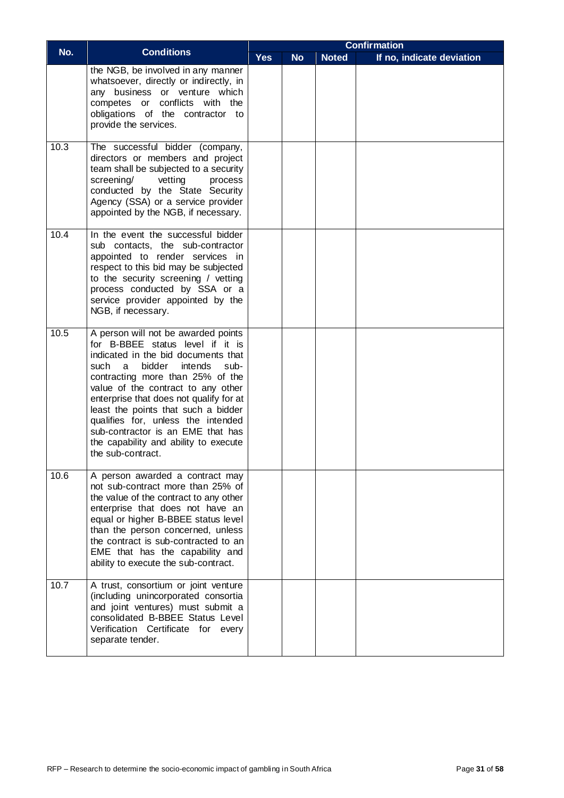| No.  | <b>Conditions</b>                                                                                                                                                                                                                                                                                                                                                                                                                                             | <b>Confirmation</b> |           |              |                           |  |  |
|------|---------------------------------------------------------------------------------------------------------------------------------------------------------------------------------------------------------------------------------------------------------------------------------------------------------------------------------------------------------------------------------------------------------------------------------------------------------------|---------------------|-----------|--------------|---------------------------|--|--|
|      |                                                                                                                                                                                                                                                                                                                                                                                                                                                               | <b>Yes</b>          | <b>No</b> | <b>Noted</b> | If no, indicate deviation |  |  |
|      | the NGB, be involved in any manner<br>whatsoever, directly or indirectly, in<br>any business or venture which<br>conflicts with the<br>competes or<br>obligations of the contractor to<br>provide the services.                                                                                                                                                                                                                                               |                     |           |              |                           |  |  |
| 10.3 | The successful bidder (company,<br>directors or members and project<br>team shall be subjected to a security<br>vetting<br>screening/<br>process<br>conducted by the State Security<br>Agency (SSA) or a service provider<br>appointed by the NGB, if necessary.                                                                                                                                                                                              |                     |           |              |                           |  |  |
| 10.4 | In the event the successful bidder<br>sub contacts, the sub-contractor<br>appointed to render services in<br>respect to this bid may be subjected<br>to the security screening / vetting<br>process conducted by SSA or a<br>service provider appointed by the<br>NGB, if necessary.                                                                                                                                                                          |                     |           |              |                           |  |  |
| 10.5 | A person will not be awarded points<br>for B-BBEE status level if it is<br>indicated in the bid documents that<br>such<br>bidder<br>intends<br>sub-<br>a<br>contracting more than 25% of the<br>value of the contract to any other<br>enterprise that does not qualify for at<br>least the points that such a bidder<br>qualifies for, unless the intended<br>sub-contractor is an EME that has<br>the capability and ability to execute<br>the sub-contract. |                     |           |              |                           |  |  |
| 10.6 | A person awarded a contract may<br>not sub-contract more than 25% of<br>the value of the contract to any other<br>enterprise that does not have an<br>equal or higher B-BBEE status level<br>than the person concerned, unless<br>the contract is sub-contracted to an<br>EME that has the capability and<br>ability to execute the sub-contract.                                                                                                             |                     |           |              |                           |  |  |
| 10.7 | A trust, consortium or joint venture<br>(including unincorporated consortia<br>and joint ventures) must submit a<br>consolidated B-BBEE Status Level<br>Verification Certificate for every<br>separate tender.                                                                                                                                                                                                                                                |                     |           |              |                           |  |  |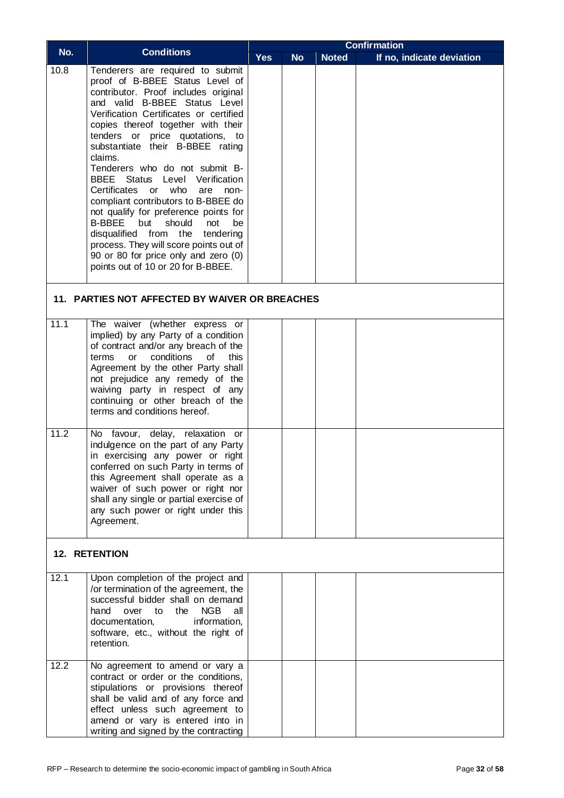|              | <b>Conditions</b>                                                                                                                                                                                                                                                                                                                                                                                                                                                                                                                                                                                                                                                                                                                          | <b>Confirmation</b> |           |              |                           |  |  |  |
|--------------|--------------------------------------------------------------------------------------------------------------------------------------------------------------------------------------------------------------------------------------------------------------------------------------------------------------------------------------------------------------------------------------------------------------------------------------------------------------------------------------------------------------------------------------------------------------------------------------------------------------------------------------------------------------------------------------------------------------------------------------------|---------------------|-----------|--------------|---------------------------|--|--|--|
| No.          |                                                                                                                                                                                                                                                                                                                                                                                                                                                                                                                                                                                                                                                                                                                                            | <b>Yes</b>          | <b>No</b> | <b>Noted</b> | If no, indicate deviation |  |  |  |
| 10.8         | Tenderers are required to submit<br>proof of B-BBEE Status Level of<br>contributor. Proof includes original<br>and valid B-BBEE Status Level<br>Verification Certificates or certified<br>copies thereof together with their<br>tenders or price quotations, to<br>substantiate their B-BBEE rating<br>claims.<br>Tenderers who do not submit B-<br><b>BBEE</b> Status Level Verification<br>Certificates<br>who<br>$\mathsf{or}$<br>are<br>non-<br>compliant contributors to B-BBEE do<br>not qualify for preference points for<br><b>B-BBEE</b><br>but<br>should<br>not<br>be<br>disqualified from the tendering<br>process. They will score points out of<br>90 or 80 for price only and zero (0)<br>points out of 10 or 20 for B-BBEE. |                     |           |              |                           |  |  |  |
|              | 11. PARTIES NOT AFFECTED BY WAIVER OR BREACHES                                                                                                                                                                                                                                                                                                                                                                                                                                                                                                                                                                                                                                                                                             |                     |           |              |                           |  |  |  |
| 11.1<br>11.2 | The waiver (whether express or<br>implied) by any Party of a condition<br>of contract and/or any breach of the<br>conditions<br>this<br>terms<br><b>or</b><br>οf<br>Agreement by the other Party shall<br>not prejudice any remedy of the<br>waiving party in respect of any<br>continuing or other breach of the<br>terms and conditions hereof.<br>No favour, delay, relaxation or<br>indulgence on the part of any Party<br>in exercising any power or right<br>conferred on such Party in terms of<br>this Agreement shall operate as a<br>waiver of such power or right nor<br>shall any single or partial exercise of<br>any such power or right under this<br>Agreement.                                                            |                     |           |              |                           |  |  |  |
|              | <b>12. RETENTION</b>                                                                                                                                                                                                                                                                                                                                                                                                                                                                                                                                                                                                                                                                                                                       |                     |           |              |                           |  |  |  |
| 12.1         | Upon completion of the project and<br>/or termination of the agreement, the<br>successful bidder shall on demand<br>hand<br>NGB<br>over<br>to<br>the<br>all<br>information,<br>documentation,<br>software, etc., without the right of<br>retention.                                                                                                                                                                                                                                                                                                                                                                                                                                                                                        |                     |           |              |                           |  |  |  |
| 12.2         | No agreement to amend or vary a<br>contract or order or the conditions,<br>stipulations or provisions thereof<br>shall be valid and of any force and<br>effect unless such agreement to<br>amend or vary is entered into in<br>writing and signed by the contracting                                                                                                                                                                                                                                                                                                                                                                                                                                                                       |                     |           |              |                           |  |  |  |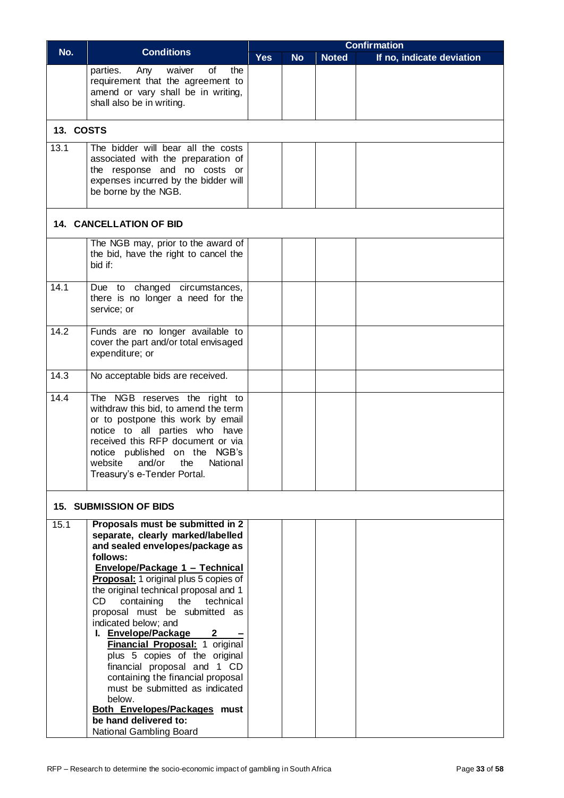|           |                                                                       | <b>Confirmation</b> |           |              |                           |  |  |  |
|-----------|-----------------------------------------------------------------------|---------------------|-----------|--------------|---------------------------|--|--|--|
| No.       | <b>Conditions</b>                                                     | <b>Yes</b>          | <b>No</b> | <b>Noted</b> | If no, indicate deviation |  |  |  |
|           | of<br>the<br>parties.<br>Any<br>waiver                                |                     |           |              |                           |  |  |  |
|           | requirement that the agreement to                                     |                     |           |              |                           |  |  |  |
|           | amend or vary shall be in writing,                                    |                     |           |              |                           |  |  |  |
|           | shall also be in writing.                                             |                     |           |              |                           |  |  |  |
|           |                                                                       |                     |           |              |                           |  |  |  |
| 13. COSTS |                                                                       |                     |           |              |                           |  |  |  |
| 13.1      | The bidder will bear all the costs                                    |                     |           |              |                           |  |  |  |
|           | associated with the preparation of                                    |                     |           |              |                           |  |  |  |
|           | the response and no costs or                                          |                     |           |              |                           |  |  |  |
|           | expenses incurred by the bidder will                                  |                     |           |              |                           |  |  |  |
|           | be borne by the NGB.                                                  |                     |           |              |                           |  |  |  |
|           |                                                                       |                     |           |              |                           |  |  |  |
|           |                                                                       |                     |           |              |                           |  |  |  |
|           | 14. CANCELLATION OF BID                                               |                     |           |              |                           |  |  |  |
|           | The NGB may, prior to the award of                                    |                     |           |              |                           |  |  |  |
|           | the bid, have the right to cancel the                                 |                     |           |              |                           |  |  |  |
|           | bid if:                                                               |                     |           |              |                           |  |  |  |
|           |                                                                       |                     |           |              |                           |  |  |  |
| 14.1      | Due to changed circumstances,                                         |                     |           |              |                           |  |  |  |
|           | there is no longer a need for the<br>service; or                      |                     |           |              |                           |  |  |  |
|           |                                                                       |                     |           |              |                           |  |  |  |
| 14.2      | Funds are no longer available to                                      |                     |           |              |                           |  |  |  |
|           | cover the part and/or total envisaged                                 |                     |           |              |                           |  |  |  |
|           | expenditure; or                                                       |                     |           |              |                           |  |  |  |
|           |                                                                       |                     |           |              |                           |  |  |  |
| 14.3      | No acceptable bids are received.                                      |                     |           |              |                           |  |  |  |
|           |                                                                       |                     |           |              |                           |  |  |  |
| 14.4      | The NGB reserves the right to<br>withdraw this bid, to amend the term |                     |           |              |                           |  |  |  |
|           | or to postpone this work by email                                     |                     |           |              |                           |  |  |  |
|           | notice to all parties who have                                        |                     |           |              |                           |  |  |  |
|           | received this RFP document or via                                     |                     |           |              |                           |  |  |  |
|           | notice published on the NGB's                                         |                     |           |              |                           |  |  |  |
|           | website<br>and/or<br>National<br>the                                  |                     |           |              |                           |  |  |  |
|           | Treasury's e-Tender Portal.                                           |                     |           |              |                           |  |  |  |
|           |                                                                       |                     |           |              |                           |  |  |  |
|           | <b>15. SUBMISSION OF BIDS</b>                                         |                     |           |              |                           |  |  |  |
|           |                                                                       |                     |           |              |                           |  |  |  |
| 15.1      | Proposals must be submitted in 2                                      |                     |           |              |                           |  |  |  |
|           | separate, clearly marked/labelled                                     |                     |           |              |                           |  |  |  |
|           | and sealed envelopes/package as<br>follows:                           |                     |           |              |                           |  |  |  |
|           | Envelope/Package 1 - Technical                                        |                     |           |              |                           |  |  |  |
|           | Proposal: 1 original plus 5 copies of                                 |                     |           |              |                           |  |  |  |
|           | the original technical proposal and 1                                 |                     |           |              |                           |  |  |  |
|           | CD<br>containing<br>the<br>technical                                  |                     |           |              |                           |  |  |  |
|           | proposal must be submitted as                                         |                     |           |              |                           |  |  |  |
|           | indicated below; and                                                  |                     |           |              |                           |  |  |  |
|           | I. Envelope/Package<br>$\mathbf{2}$                                   |                     |           |              |                           |  |  |  |
|           | Financial Proposal: 1 original                                        |                     |           |              |                           |  |  |  |
|           | plus 5 copies of the original                                         |                     |           |              |                           |  |  |  |
|           | financial proposal and 1 CD<br>containing the financial proposal      |                     |           |              |                           |  |  |  |
|           | must be submitted as indicated                                        |                     |           |              |                           |  |  |  |
|           | below.                                                                |                     |           |              |                           |  |  |  |
|           | Both Envelopes/Packages must                                          |                     |           |              |                           |  |  |  |
|           | be hand delivered to:                                                 |                     |           |              |                           |  |  |  |
|           | National Gambling Board                                               |                     |           |              |                           |  |  |  |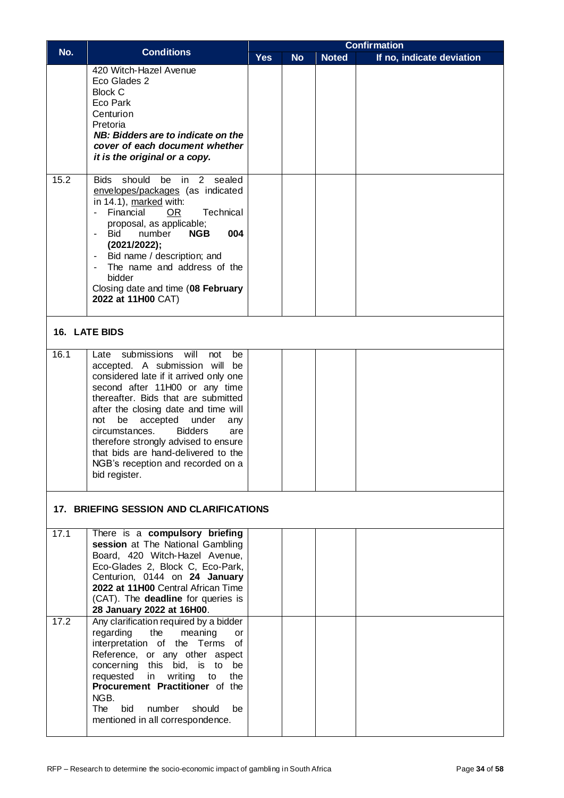|      |                                                                                                                                                                                                                                                                                                                                                                                                                                                                | <b>Confirmation</b> |           |              |                           |  |  |  |
|------|----------------------------------------------------------------------------------------------------------------------------------------------------------------------------------------------------------------------------------------------------------------------------------------------------------------------------------------------------------------------------------------------------------------------------------------------------------------|---------------------|-----------|--------------|---------------------------|--|--|--|
| No.  | <b>Conditions</b>                                                                                                                                                                                                                                                                                                                                                                                                                                              | <b>Yes</b>          | <b>No</b> | <b>Noted</b> | If no, indicate deviation |  |  |  |
|      | 420 Witch-Hazel Avenue<br>Eco Glades 2<br><b>Block C</b><br>Eco Park<br>Centurion<br>Pretoria<br>NB: Bidders are to indicate on the<br>cover of each document whether<br>it is the original or a copy.                                                                                                                                                                                                                                                         |                     |           |              |                           |  |  |  |
| 15.2 | Bids should be in 2 sealed<br>envelopes/packages (as indicated<br>in 14.1), marked with:<br>Financial<br>Technical<br>$\sim$<br>OR.<br>proposal, as applicable;<br><b>Bid</b><br>004<br>number<br><b>NGB</b><br>$\blacksquare$<br>(2021/2022);<br>Bid name / description; and<br>$\sim$ 10 $\pm$<br>The name and address of the<br>bidder<br>Closing date and time (08 February<br>2022 at 11H00 CAT)                                                          |                     |           |              |                           |  |  |  |
|      | 16. LATE BIDS                                                                                                                                                                                                                                                                                                                                                                                                                                                  |                     |           |              |                           |  |  |  |
| 16.1 | submissions<br>will<br>not<br>Late<br>be<br>accepted. A submission will<br>be<br>considered late if it arrived only one<br>second after 11H00 or any time<br>thereafter. Bids that are submitted<br>after the closing date and time will<br>not<br>be<br>accepted under<br>any<br>circumstances.<br><b>Bidders</b><br>are<br>therefore strongly advised to ensure<br>that bids are hand-delivered to the<br>NGB's reception and recorded on a<br>bid register. |                     |           |              |                           |  |  |  |
|      | 17. BRIEFING SESSION AND CLARIFICATIONS                                                                                                                                                                                                                                                                                                                                                                                                                        |                     |           |              |                           |  |  |  |
| 17.1 | There is a compulsory briefing<br>session at The National Gambling<br>Board, 420 Witch-Hazel Avenue,<br>Eco-Glades 2, Block C, Eco-Park,<br>Centurion, 0144 on 24 January<br>2022 at 11H00 Central African Time<br>(CAT). The deadline for queries is<br>28 January 2022 at 16H00.                                                                                                                                                                             |                     |           |              |                           |  |  |  |
| 17.2 | Any clarification required by a bidder<br>the<br>regarding<br>meaning<br>or<br>interpretation of the Terms<br>of<br>Reference, or any other aspect<br>concerning this bid, is to<br>be<br>writing<br>requested<br>in<br>to<br>the<br>Procurement Practitioner of the<br>NGB.<br>The<br>bid<br>number<br>should<br>be<br>mentioned in all correspondence.                                                                                                       |                     |           |              |                           |  |  |  |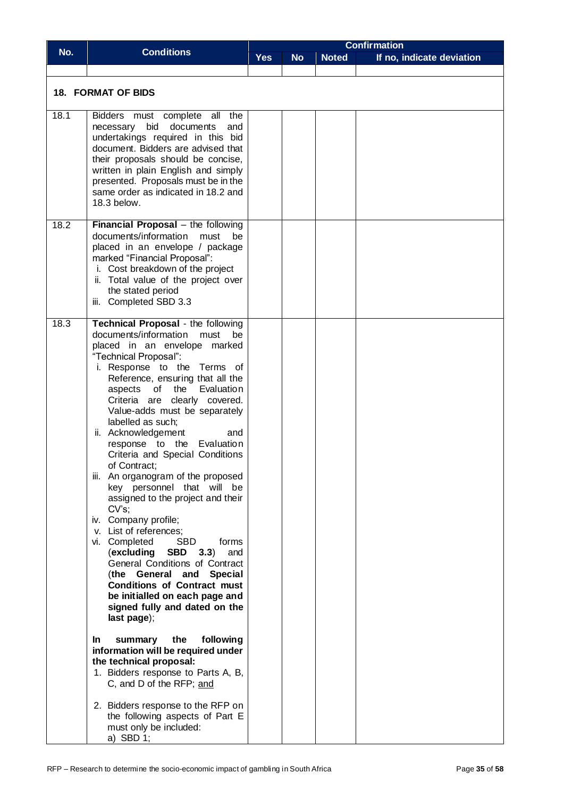|      |                                                                                                                                                                                                                                                                                                                                                                                                                                                                                                                                                                                                                                                                                                                                                                                                                                                                                             | <b>Confirmation</b> |           |              |                           |  |  |
|------|---------------------------------------------------------------------------------------------------------------------------------------------------------------------------------------------------------------------------------------------------------------------------------------------------------------------------------------------------------------------------------------------------------------------------------------------------------------------------------------------------------------------------------------------------------------------------------------------------------------------------------------------------------------------------------------------------------------------------------------------------------------------------------------------------------------------------------------------------------------------------------------------|---------------------|-----------|--------------|---------------------------|--|--|
| No.  | <b>Conditions</b>                                                                                                                                                                                                                                                                                                                                                                                                                                                                                                                                                                                                                                                                                                                                                                                                                                                                           | <b>Yes</b>          | <b>No</b> | <b>Noted</b> | If no, indicate deviation |  |  |
|      |                                                                                                                                                                                                                                                                                                                                                                                                                                                                                                                                                                                                                                                                                                                                                                                                                                                                                             |                     |           |              |                           |  |  |
|      | <b>18. FORMAT OF BIDS</b>                                                                                                                                                                                                                                                                                                                                                                                                                                                                                                                                                                                                                                                                                                                                                                                                                                                                   |                     |           |              |                           |  |  |
| 18.1 | Bidders must complete all<br>the<br>necessary bid documents<br>and<br>undertakings required in this bid<br>document. Bidders are advised that<br>their proposals should be concise,<br>written in plain English and simply<br>presented. Proposals must be in the<br>same order as indicated in 18.2 and<br>18.3 below.                                                                                                                                                                                                                                                                                                                                                                                                                                                                                                                                                                     |                     |           |              |                           |  |  |
| 18.2 | <b>Financial Proposal</b> – the following<br>documents/information<br>must<br>be<br>placed in an envelope / package<br>marked "Financial Proposal":<br>i. Cost breakdown of the project<br>ii. Total value of the project over<br>the stated period<br>iii. Completed SBD 3.3                                                                                                                                                                                                                                                                                                                                                                                                                                                                                                                                                                                                               |                     |           |              |                           |  |  |
| 18.3 | <b>Technical Proposal</b> - the following<br>documents/information<br>must<br>be<br>placed in an envelope marked<br>"Technical Proposal":<br>i. Response to the Terms of<br>Reference, ensuring that all the<br>aspects of the<br>Evaluation<br>Criteria are clearly covered.<br>Value-adds must be separately<br>labelled as such;<br>ii. Acknowledgement<br>and<br>response to the Evaluation<br>Criteria and Special Conditions<br>of Contract;<br>iii. An organogram of the proposed<br>key personnel that will be<br>assigned to the project and their<br>$CV's$ :<br>iv. Company profile;<br>v. List of references;<br><b>SBD</b><br>vi. Completed<br>forms<br>(excluding<br>SBD<br>3.3)<br>and<br>General Conditions of Contract<br>(the General and Special<br><b>Conditions of Contract must</b><br>be initialled on each page and<br>signed fully and dated on the<br>last page); |                     |           |              |                           |  |  |
|      | the<br>following<br>In.<br>summary<br>information will be required under<br>the technical proposal:<br>1. Bidders response to Parts A, B,<br>C, and D of the RFP; and                                                                                                                                                                                                                                                                                                                                                                                                                                                                                                                                                                                                                                                                                                                       |                     |           |              |                           |  |  |
|      | 2. Bidders response to the RFP on<br>the following aspects of Part E<br>must only be included:<br>a) SBD $1$ ;                                                                                                                                                                                                                                                                                                                                                                                                                                                                                                                                                                                                                                                                                                                                                                              |                     |           |              |                           |  |  |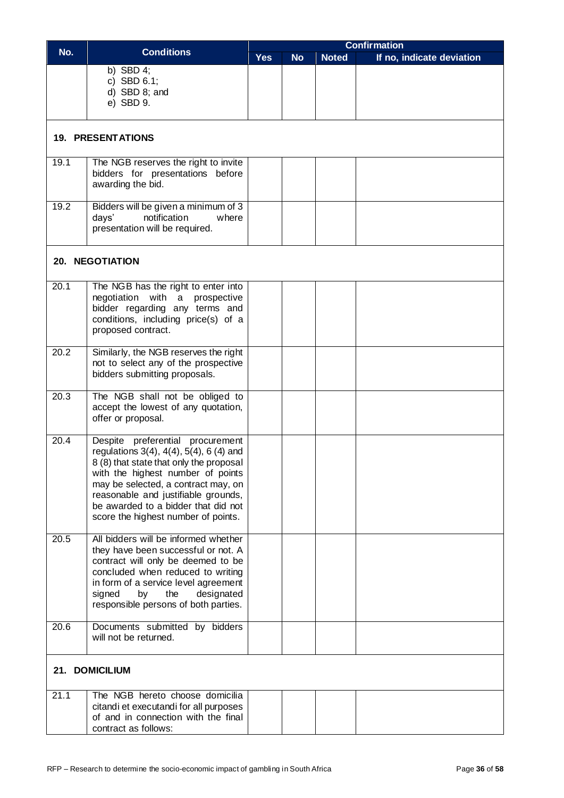|      |                                                                                                                                                                                                                                                                                                                                    | <b>Confirmation</b> |           |              |                           |  |  |  |  |  |
|------|------------------------------------------------------------------------------------------------------------------------------------------------------------------------------------------------------------------------------------------------------------------------------------------------------------------------------------|---------------------|-----------|--------------|---------------------------|--|--|--|--|--|
| No.  | <b>Conditions</b>                                                                                                                                                                                                                                                                                                                  | <b>Yes</b>          | <b>No</b> | <b>Noted</b> | If no, indicate deviation |  |  |  |  |  |
|      | b) SBD $4$ ;<br>c) SBD $6.1$ ;<br>$d)$ SBD 8; and<br>e) SBD 9.                                                                                                                                                                                                                                                                     |                     |           |              |                           |  |  |  |  |  |
|      | <b>19. PRESENTATIONS</b>                                                                                                                                                                                                                                                                                                           |                     |           |              |                           |  |  |  |  |  |
| 19.1 | The NGB reserves the right to invite<br>bidders for presentations before<br>awarding the bid.                                                                                                                                                                                                                                      |                     |           |              |                           |  |  |  |  |  |
| 19.2 | Bidders will be given a minimum of 3<br>days'<br>notification<br>where<br>presentation will be required.                                                                                                                                                                                                                           |                     |           |              |                           |  |  |  |  |  |
|      | <b>20. NEGOTIATION</b>                                                                                                                                                                                                                                                                                                             |                     |           |              |                           |  |  |  |  |  |
| 20.1 | The NGB has the right to enter into<br>negotiation with a prospective<br>bidder regarding any terms and<br>conditions, including price(s) of a<br>proposed contract.                                                                                                                                                               |                     |           |              |                           |  |  |  |  |  |
| 20.2 | Similarly, the NGB reserves the right<br>not to select any of the prospective<br>bidders submitting proposals.                                                                                                                                                                                                                     |                     |           |              |                           |  |  |  |  |  |
| 20.3 | The NGB shall not be obliged to<br>accept the lowest of any quotation,<br>offer or proposal.                                                                                                                                                                                                                                       |                     |           |              |                           |  |  |  |  |  |
| 20.4 | Despite preferential procurement<br>regulations $3(4)$ , $4(4)$ , $5(4)$ , 6 $(4)$ and<br>8 (8) that state that only the proposal<br>with the highest number of points<br>may be selected, a contract may, on<br>reasonable and justifiable grounds,<br>be awarded to a bidder that did not<br>score the highest number of points. |                     |           |              |                           |  |  |  |  |  |
| 20.5 | All bidders will be informed whether<br>they have been successful or not. A<br>contract will only be deemed to be<br>concluded when reduced to writing<br>in form of a service level agreement<br>signed<br>by<br>the<br>designated<br>responsible persons of both parties.                                                        |                     |           |              |                           |  |  |  |  |  |
| 20.6 | Documents submitted by bidders<br>will not be returned.                                                                                                                                                                                                                                                                            |                     |           |              |                           |  |  |  |  |  |
|      | 21. DOMICILIUM                                                                                                                                                                                                                                                                                                                     |                     |           |              |                           |  |  |  |  |  |
| 21.1 | The NGB hereto choose domicilia<br>citandi et executandi for all purposes<br>of and in connection with the final<br>contract as follows:                                                                                                                                                                                           |                     |           |              |                           |  |  |  |  |  |

 $\lfloor$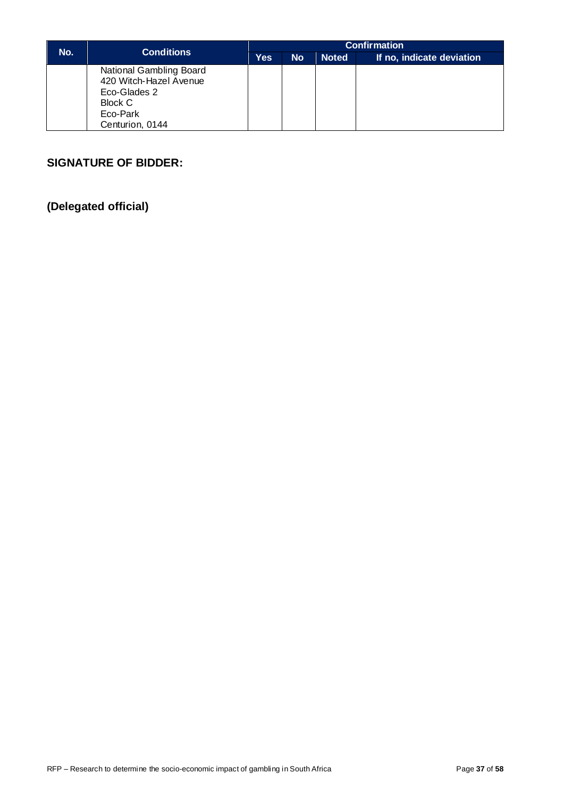|     | <b>Conditions</b>                                                                                           | <b>Confirmation</b> |           |              |                           |  |  |  |
|-----|-------------------------------------------------------------------------------------------------------------|---------------------|-----------|--------------|---------------------------|--|--|--|
| No. |                                                                                                             | Yes                 | <b>No</b> | <b>Noted</b> | If no, indicate deviation |  |  |  |
|     | National Gambling Board<br>420 Witch-Hazel Avenue<br>Eco-Glades 2<br>Block C<br>Eco-Park<br>Centurion, 0144 |                     |           |              |                           |  |  |  |

#### **SIGNATURE OF BIDDER:**

**(Delegated official)**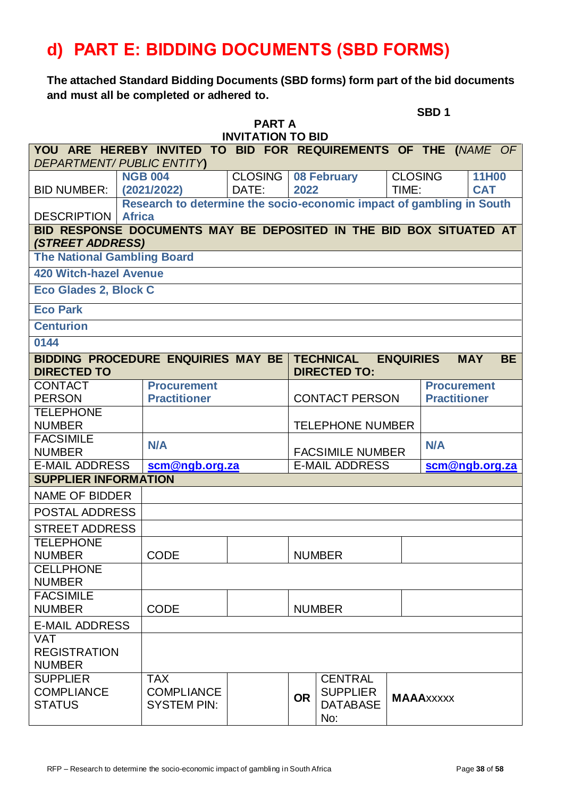# <span id="page-37-0"></span>**d) PART E: BIDDING DOCUMENTS (SBD FORMS)**

**The attached Standard Bidding Documents (SBD forms) form part of the bid documents and must all be completed or adhered to.**

|                                                        |                                                                      |       |                |           |                                         |                  | SBD <sub>1</sub>  |                     |           |
|--------------------------------------------------------|----------------------------------------------------------------------|-------|----------------|-----------|-----------------------------------------|------------------|-------------------|---------------------|-----------|
|                                                        | <b>PART A</b><br><b>INVITATION TO BID</b>                            |       |                |           |                                         |                  |                   |                     |           |
|                                                        | YOU ARE HEREBY INVITED TO BID FOR REQUIREMENTS OF THE (NAME OF       |       |                |           |                                         |                  |                   |                     |           |
|                                                        | <b>DEPARTMENT/ PUBLIC ENTITY)</b>                                    |       |                |           |                                         |                  |                   |                     |           |
|                                                        | <b>NGB 004</b>                                                       |       | <b>CLOSING</b> |           | 08 February                             | <b>CLOSING</b>   |                   | 11H00               |           |
| <b>BID NUMBER:</b>                                     | (2021/2022)                                                          | DATE: |                | 2022      |                                         | TIME:            |                   | <b>CAT</b>          |           |
|                                                        | Research to determine the socio-economic impact of gambling in South |       |                |           |                                         |                  |                   |                     |           |
| <b>DESCRIPTION</b>                                     | <b>Africa</b>                                                        |       |                |           |                                         |                  |                   |                     |           |
|                                                        | BID RESPONSE DOCUMENTS MAY BE DEPOSITED IN THE BID BOX SITUATED AT   |       |                |           |                                         |                  |                   |                     |           |
| (STREET ADDRESS)<br><b>The National Gambling Board</b> |                                                                      |       |                |           |                                         |                  |                   |                     |           |
| <b>420 Witch-hazel Avenue</b>                          |                                                                      |       |                |           |                                         |                  |                   |                     |           |
| <b>Eco Glades 2, Block C</b>                           |                                                                      |       |                |           |                                         |                  |                   |                     |           |
| <b>Eco Park</b>                                        |                                                                      |       |                |           |                                         |                  |                   |                     |           |
| <b>Centurion</b>                                       |                                                                      |       |                |           |                                         |                  |                   |                     |           |
| 0144                                                   |                                                                      |       |                |           |                                         |                  |                   |                     |           |
| <b>DIRECTED TO</b>                                     | <b>BIDDING PROCEDURE ENQUIRIES MAY BE</b>                            |       |                |           | <b>TECHNICAL</b><br><b>DIRECTED TO:</b> | <b>ENQUIRIES</b> |                   | <b>MAY</b>          | <b>BE</b> |
| <b>CONTACT</b>                                         | <b>Procurement</b>                                                   |       |                |           |                                         |                  |                   | <b>Procurement</b>  |           |
| <b>PERSON</b>                                          | <b>Practitioner</b>                                                  |       |                |           | <b>CONTACT PERSON</b>                   |                  |                   | <b>Practitioner</b> |           |
| <b>TELEPHONE</b>                                       |                                                                      |       |                |           |                                         |                  |                   |                     |           |
| <b>NUMBER</b>                                          |                                                                      |       |                |           | <b>TELEPHONE NUMBER</b>                 |                  |                   |                     |           |
| <b>FACSIMILE</b>                                       | <b>N/A</b>                                                           |       |                |           |                                         |                  | <b>N/A</b>        |                     |           |
| <b>NUMBER</b>                                          |                                                                      |       |                |           | <b>FACSIMILE NUMBER</b>                 |                  |                   |                     |           |
| <b>E-MAIL ADDRESS</b>                                  | scm@ngb.org.za                                                       |       |                |           | <b>E-MAIL ADDRESS</b>                   |                  |                   | scm@ngb.org.za      |           |
| <b>SUPPLIER INFORMATION</b>                            |                                                                      |       |                |           |                                         |                  |                   |                     |           |
| <b>NAME OF BIDDER</b>                                  |                                                                      |       |                |           |                                         |                  |                   |                     |           |
| POSTAL ADDRESS                                         |                                                                      |       |                |           |                                         |                  |                   |                     |           |
| <b>STREET ADDRESS</b>                                  |                                                                      |       |                |           |                                         |                  |                   |                     |           |
| <b>TELEPHONE</b>                                       |                                                                      |       |                |           |                                         |                  |                   |                     |           |
| <b>NUMBER</b>                                          | <b>CODE</b>                                                          |       |                |           | <b>NUMBER</b>                           |                  |                   |                     |           |
| <b>CELLPHONE</b><br><b>NUMBER</b>                      |                                                                      |       |                |           |                                         |                  |                   |                     |           |
| <b>FACSIMILE</b>                                       |                                                                      |       |                |           |                                         |                  |                   |                     |           |
| <b>NUMBER</b>                                          | <b>CODE</b>                                                          |       |                |           | <b>NUMBER</b>                           |                  |                   |                     |           |
| <b>E-MAIL ADDRESS</b>                                  |                                                                      |       |                |           |                                         |                  |                   |                     |           |
| <b>VAT</b><br><b>REGISTRATION</b><br><b>NUMBER</b>     |                                                                      |       |                |           |                                         |                  |                   |                     |           |
| <b>SUPPLIER</b>                                        | <b>TAX</b>                                                           |       |                |           | <b>CENTRAL</b>                          |                  |                   |                     |           |
| <b>COMPLIANCE</b>                                      | <b>COMPLIANCE</b>                                                    |       |                | <b>OR</b> | <b>SUPPLIER</b>                         |                  | <b>MAAA</b> xxxxx |                     |           |
| <b>STATUS</b>                                          | <b>SYSTEM PIN:</b>                                                   |       |                |           | <b>DATABASE</b><br>No:                  |                  |                   |                     |           |
|                                                        |                                                                      |       |                |           |                                         |                  |                   |                     |           |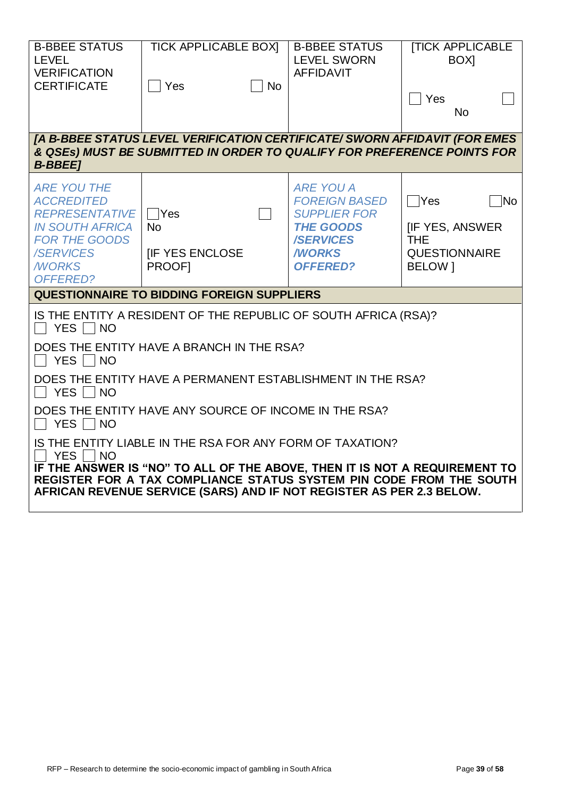| <b>B-BBEE STATUS</b><br><b>LEVEL</b><br><b>VERIFICATION</b><br><b>CERTIFICATE</b>                                                                                  | <b>TICK APPLICABLE BOXI</b><br>│ Yes<br><b>No</b>                                                                                                                                                                                                                                                | <b>B-BBEE STATUS</b><br><b>LEVEL SWORN</b><br><b>AFFIDAVIT</b>                                                                             | <b>[TICK APPLICABLE</b><br>BOX <sub>1</sub><br>Yes<br><b>No</b>                                                                    |
|--------------------------------------------------------------------------------------------------------------------------------------------------------------------|--------------------------------------------------------------------------------------------------------------------------------------------------------------------------------------------------------------------------------------------------------------------------------------------------|--------------------------------------------------------------------------------------------------------------------------------------------|------------------------------------------------------------------------------------------------------------------------------------|
| <b>B-BBEE1</b>                                                                                                                                                     | [A B-BBEE STATUS LEVEL VERIFICATION CERTIFICATE/ SWORN AFFIDAVIT (FOR EMES<br>& QSEs) MUST BE SUBMITTED IN ORDER TO QUALIFY FOR PREFERENCE POINTS FOR                                                                                                                                            |                                                                                                                                            |                                                                                                                                    |
| <b>ARE YOU THE</b><br><b>ACCREDITED</b><br><b>REPRESENTATIVE</b><br><b>IN SOUTH AFRICA</b><br><b>FOR THE GOODS</b><br><b>/SERVICES</b><br><b>MORKS</b><br>OFFERED? | ∣ Yes<br><b>No</b><br><b>IF YES ENCLOSE</b><br>PROOF1                                                                                                                                                                                                                                            | <b>ARE YOU A</b><br><b>FOREIGN BASED</b><br><b>SUPPLIER FOR</b><br><b>THE GOODS</b><br><b>/SERVICES</b><br><b>WORKS</b><br><b>OFFERED?</b> | $\overline{\phantom{a}}$ Yes<br>$\overline{\mathsf{No}}$<br><b>IF YES, ANSWER</b><br><b>THE</b><br><b>QUESTIONNAIRE</b><br>BELOW 1 |
|                                                                                                                                                                    | <b>QUESTIONNAIRE TO BIDDING FOREIGN SUPPLIERS</b>                                                                                                                                                                                                                                                |                                                                                                                                            |                                                                                                                                    |
| YES NO<br>YES     NO<br>YES NO<br>YES     NO<br><b>YES</b><br>$\overline{\phantom{a}}$ NO                                                                          | IS THE ENTITY A RESIDENT OF THE REPUBLIC OF SOUTH AFRICA (RSA)?<br>DOES THE ENTITY HAVE A BRANCH IN THE RSA?<br>DOES THE ENTITY HAVE A PERMANENT ESTABLISHMENT IN THE RSA?<br>DOES THE ENTITY HAVE ANY SOURCE OF INCOME IN THE RSA?<br>IS THE ENTITY LIABLE IN THE RSA FOR ANY FORM OF TAXATION? |                                                                                                                                            |                                                                                                                                    |
|                                                                                                                                                                    | IF THE ANSWER IS "NO" TO ALL OF THE ABOVE, THEN IT IS NOT A REQUIREMENT TO<br>REGISTER FOR A TAX COMPLIANCE STATUS SYSTEM PIN CODE FROM THE SOUTH<br>AFRICAN REVENUE SERVICE (SARS) AND IF NOT REGISTER AS PER 2.3 BELOW.                                                                        |                                                                                                                                            |                                                                                                                                    |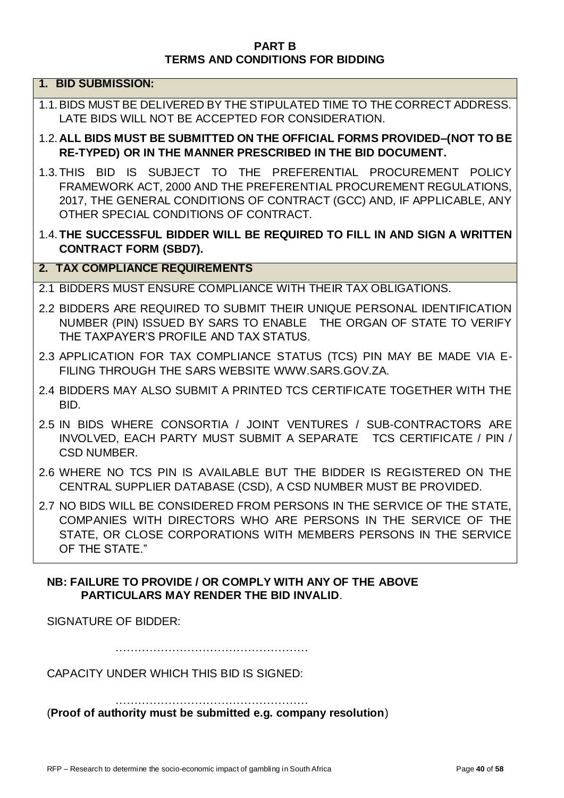#### **PART B TERMS AND CONDITIONS FOR BIDDING**

#### **1. BID SUBMISSION:**

- 1.1.BIDS MUST BE DELIVERED BY THE STIPULATED TIME TO THE CORRECT ADDRESS. LATE BIDS WILL NOT BE ACCEPTED FOR CONSIDERATION.
- 1.2.**ALL BIDS MUST BE SUBMITTED ON THE OFFICIAL FORMS PROVIDED–(NOT TO BE RE-TYPED) OR IN THE MANNER PRESCRIBED IN THE BID DOCUMENT.**
- 1.3.THIS BID IS SUBJECT TO THE PREFERENTIAL PROCUREMENT POLICY FRAMEWORK ACT, 2000 AND THE PREFERENTIAL PROCUREMENT REGULATIONS, 2017, THE GENERAL CONDITIONS OF CONTRACT (GCC) AND, IF APPLICABLE, ANY OTHER SPECIAL CONDITIONS OF CONTRACT.
- 1.4.**THE SUCCESSFUL BIDDER WILL BE REQUIRED TO FILL IN AND SIGN A WRITTEN CONTRACT FORM (SBD7).**

#### **2. TAX COMPLIANCE REQUIREMENTS**

- 2.1 BIDDERS MUST ENSURE COMPLIANCE WITH THEIR TAX OBLIGATIONS.
- 2.2 BIDDERS ARE REQUIRED TO SUBMIT THEIR UNIQUE PERSONAL IDENTIFICATION NUMBER (PIN) ISSUED BY SARS TO ENABLE THE ORGAN OF STATE TO VERIFY THE TAXPAYER'S PROFILE AND TAX STATUS.
- 2.3 APPLICATION FOR TAX COMPLIANCE STATUS (TCS) PIN MAY BE MADE VIA E-FILING THROUGH THE SARS WEBSITE [WWW.SARS.GOV.ZA.](http://www.sars.gov.za/)
- 2.4 BIDDERS MAY ALSO SUBMIT A PRINTED TCS CERTIFICATE TOGETHER WITH THE BID.
- 2.5 IN BIDS WHERE CONSORTIA / JOINT VENTURES / SUB-CONTRACTORS ARE INVOLVED, EACH PARTY MUST SUBMIT A SEPARATE TCS CERTIFICATE / PIN / CSD NUMBER.
- 2.6 WHERE NO TCS PIN IS AVAILABLE BUT THE BIDDER IS REGISTERED ON THE CENTRAL SUPPLIER DATABASE (CSD), A CSD NUMBER MUST BE PROVIDED.
- 2.7 NO BIDS WILL BE CONSIDERED FROM PERSONS IN THE SERVICE OF THE STATE, COMPANIES WITH DIRECTORS WHO ARE PERSONS IN THE SERVICE OF THE STATE, OR CLOSE CORPORATIONS WITH MEMBERS PERSONS IN THE SERVICE OF THE STATE"

#### **NB: FAILURE TO PROVIDE / OR COMPLY WITH ANY OF THE ABOVE PARTICULARS MAY RENDER THE BID INVALID**.

SIGNATURE OF BIDDER:

……………………………………………

CAPACITY UNDER WHICH THIS BID IS SIGNED:

…………………………………………… (**Proof of authority must be submitted e.g. company resolution**)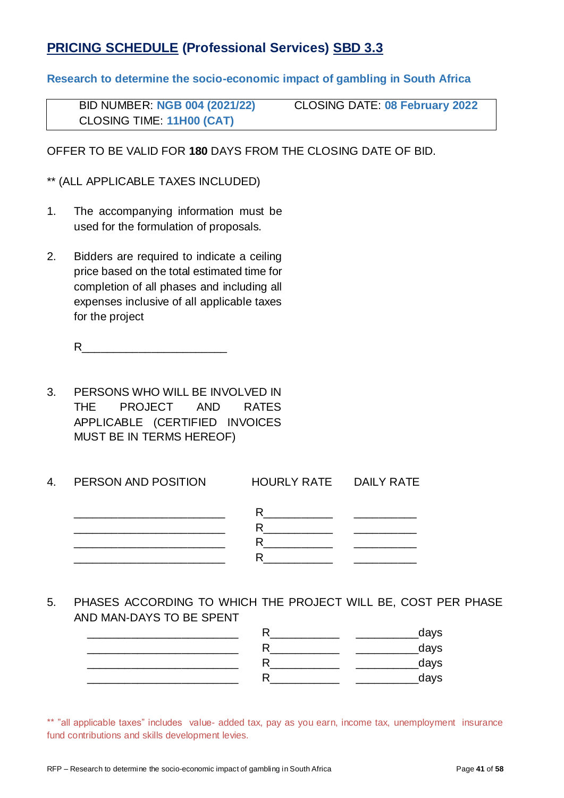## **PRICING SCHEDULE (Professional Services) SBD 3.3**

**Research to determine the socio-economic impact of gambling in South Africa**

| <b>BID NUMBER: NGB 004 (2021/22)</b> | <b>CLOSING DATE: 08 February 2022</b> |
|--------------------------------------|---------------------------------------|
| <b>CLOSING TIME: 11H00 (CAT)</b>     |                                       |

OFFER TO BE VALID FOR **180** DAYS FROM THE CLOSING DATE OF BID.

\*\* (ALL APPLICABLE TAXES INCLUDED)

- 1. The accompanying information must be used for the formulation of proposals.
- 2. Bidders are required to indicate a ceiling price based on the total estimated time for completion of all phases and including all expenses inclusive of all applicable taxes for the project

 $R$ 

- 3. PERSONS WHO WILL BE INVOLVED IN THE PROJECT AND RATES APPLICABLE (CERTIFIED INVOICES MUST BE IN TERMS HEREOF)
- 4. PERSON AND POSITION HOURLY RATE DAILY RATE \_\_\_\_\_\_\_\_\_\_\_\_\_\_\_\_\_\_\_\_\_\_\_\_ R\_\_\_\_\_\_\_\_\_\_\_ \_\_\_\_\_\_\_\_\_\_  $\overline{R}$  and  $\overline{R}$  and  $\overline{R}$  and  $\overline{R}$  and  $\overline{R}$  and  $\overline{R}$  and  $\overline{R}$  and  $\overline{R}$  and  $\overline{R}$  and  $\overline{R}$  and  $\overline{R}$  and  $\overline{R}$  and  $\overline{R}$  and  $\overline{R}$  and  $\overline{R}$  and  $\overline{R}$  and  $\overline{R}$  and \_\_\_\_\_\_\_\_\_\_\_\_\_\_\_\_\_\_\_\_\_\_\_\_ R\_\_\_\_\_\_\_\_\_\_\_ \_\_\_\_\_\_\_\_\_\_  $R$
- 5. PHASES ACCORDING TO WHICH THE PROJECT WILL BE, COST PER PHASE AND MAN-DAYS TO BE SPENT

| days |
|------|
| days |
| days |
| days |
|      |

\*\* "all applicable taxes" includes value- added tax, pay as you earn, income tax, unemployment insurance fund contributions and skills development levies.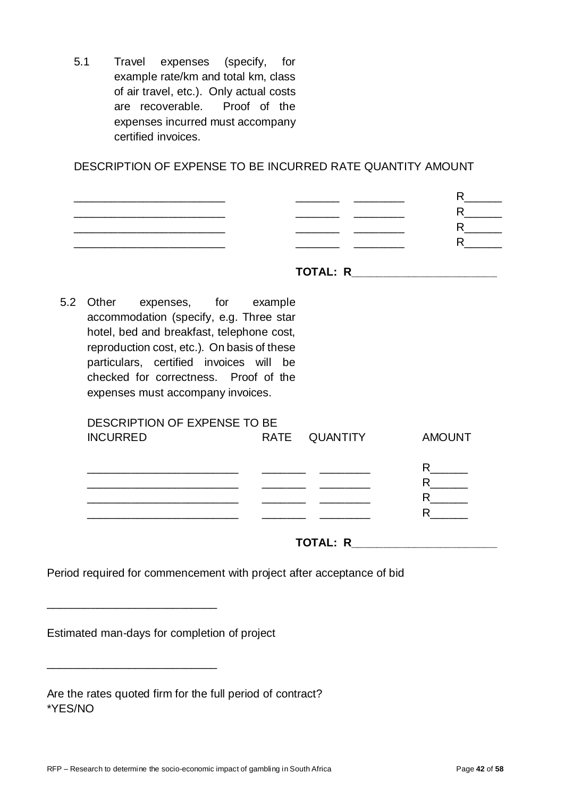5.1 Travel expenses (specify, for example rate/km and total km, class of air travel, etc.). Only actual costs are recoverable. Proof of the expenses incurred must accompany certified invoices.

DESCRIPTION OF EXPENSE TO BE INCURRED RATE QUANTITY AMOUNT

|     | ___ |  |
|-----|-----|--|
| ___ | _   |  |
|     |     |  |
|     |     |  |

| TOTAL: R |  |
|----------|--|
|----------|--|

5.2 Other expenses, for example accommodation (specify, e.g. Three star hotel, bed and breakfast, telephone cost, reproduction cost, etc.). On basis of these particulars, certified invoices will be checked for correctness. Proof of the expenses must accompany invoices.

| DESCRIPTION OF EXPENSE TO BE |               |               |
|------------------------------|---------------|---------------|
| <b>INCURRED</b>              | RATE QUANTITY | <b>AMOUNT</b> |
|                              |               |               |
|                              |               |               |
|                              |               | R             |
|                              |               |               |
|                              |               |               |
|                              |               |               |
|                              |               |               |
|                              |               |               |

**TOTAL: R\_\_\_\_\_\_\_\_\_\_\_\_\_\_\_\_\_\_\_\_\_\_\_**

Period required for commencement with project after acceptance of bid

Estimated man-days for completion of project

\_\_\_\_\_\_\_\_\_\_\_\_\_\_\_\_\_\_\_\_\_\_\_\_\_\_\_

\_\_\_\_\_\_\_\_\_\_\_\_\_\_\_\_\_\_\_\_\_\_\_\_\_\_\_

| Are the rates quoted firm for the full period of contract? |  |
|------------------------------------------------------------|--|
| *YES/NO                                                    |  |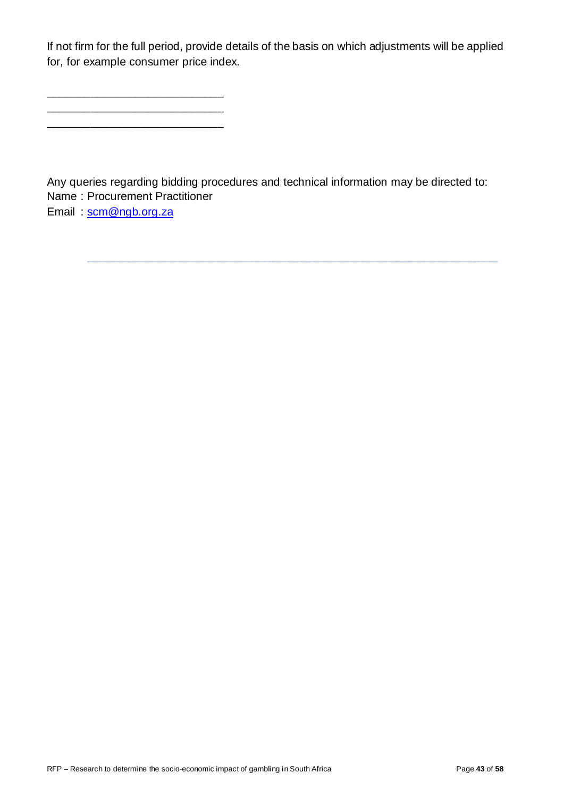If not firm for the full period, provide details of the basis on which adjustments will be applied for, for example consumer price index.

\_\_\_\_\_\_\_\_\_\_\_\_\_\_\_\_\_\_\_\_\_\_\_\_\_\_\_\_ \_\_\_\_\_\_\_\_\_\_\_\_\_\_\_\_\_\_\_\_\_\_\_\_\_\_\_\_ \_\_\_\_\_\_\_\_\_\_\_\_\_\_\_\_\_\_\_\_\_\_\_\_\_\_\_\_

Any queries regarding bidding procedures and technical information may be directed to: Name : Procurement Practitioner Email : [scm@ngb.org.za](mailto:scm@ngb.org.za)

**\_\_\_\_\_\_\_\_\_\_\_\_\_\_\_\_\_\_\_\_\_\_\_\_\_\_\_\_\_\_\_\_\_\_\_\_\_\_\_\_\_\_\_\_\_\_\_\_\_\_\_\_\_\_\_\_\_\_\_\_\_\_\_\_\_**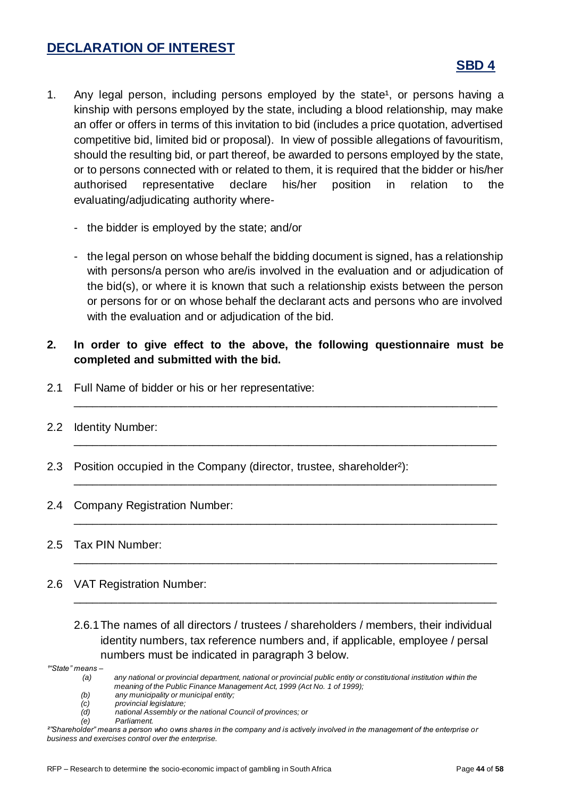#### **DECLARATION OF INTEREST**

#### **SBD 4**

- 1. Any legal person, including persons employed by the state<sup>1</sup>, or persons having a kinship with persons employed by the state, including a blood relationship, may make an offer or offers in terms of this invitation to bid (includes a price quotation, advertised competitive bid, limited bid or proposal). In view of possible allegations of favouritism, should the resulting bid, or part thereof, be awarded to persons employed by the state, or to persons connected with or related to them, it is required that the bidder or his/her authorised representative declare his/her position in relation to the evaluating/adjudicating authority where-
	- the bidder is employed by the state; and/or
	- the legal person on whose behalf the bidding document is signed, has a relationship with persons/a person who are/is involved in the evaluation and or adjudication of the bid(s), or where it is known that such a relationship exists between the person or persons for or on whose behalf the declarant acts and persons who are involved with the evaluation and or adjudication of the bid.
- **2. In order to give effect to the above, the following questionnaire must be completed and submitted with the bid.**

\_\_\_\_\_\_\_\_\_\_\_\_\_\_\_\_\_\_\_\_\_\_\_\_\_\_\_\_\_\_\_\_\_\_\_\_\_\_\_\_\_\_\_\_\_\_\_\_\_\_\_\_\_\_\_\_\_\_\_\_\_\_\_\_\_\_\_

\_\_\_\_\_\_\_\_\_\_\_\_\_\_\_\_\_\_\_\_\_\_\_\_\_\_\_\_\_\_\_\_\_\_\_\_\_\_\_\_\_\_\_\_\_\_\_\_\_\_\_\_\_\_\_\_\_\_\_\_\_\_\_\_\_\_\_

\_\_\_\_\_\_\_\_\_\_\_\_\_\_\_\_\_\_\_\_\_\_\_\_\_\_\_\_\_\_\_\_\_\_\_\_\_\_\_\_\_\_\_\_\_\_\_\_\_\_\_\_\_\_\_\_\_\_\_\_\_\_\_\_\_\_\_

\_\_\_\_\_\_\_\_\_\_\_\_\_\_\_\_\_\_\_\_\_\_\_\_\_\_\_\_\_\_\_\_\_\_\_\_\_\_\_\_\_\_\_\_\_\_\_\_\_\_\_\_\_\_\_\_\_\_\_\_\_\_\_\_\_\_\_

\_\_\_\_\_\_\_\_\_\_\_\_\_\_\_\_\_\_\_\_\_\_\_\_\_\_\_\_\_\_\_\_\_\_\_\_\_\_\_\_\_\_\_\_\_\_\_\_\_\_\_\_\_\_\_\_\_\_\_\_\_\_\_\_\_\_\_

\_\_\_\_\_\_\_\_\_\_\_\_\_\_\_\_\_\_\_\_\_\_\_\_\_\_\_\_\_\_\_\_\_\_\_\_\_\_\_\_\_\_\_\_\_\_\_\_\_\_\_\_\_\_\_\_\_\_\_\_\_\_\_\_\_\_\_

- 2.1 Full Name of bidder or his or her representative:
- 2.2 Identity Number:
- 2.3 Position occupied in the Company (director, trustee, shareholder²):
- 2.4 Company Registration Number:

#### 2.5 Tax PIN Number:

- 2.6 VAT Registration Number:
	- 2.6.1The names of all directors / trustees / shareholders / members, their individual identity numbers, tax reference numbers and, if applicable, employee / persal numbers must be indicated in paragraph 3 below.

*¹"State" means –*

*(b) any municipality or municipal entity;*

 $P$ *arliament.* 

*<sup>(</sup>a) any national or provincial department, national or provincial public entity or constitutional institution within the meaning of the Public Finance Management Act, 1999 (Act No. 1 of 1999);*

*<sup>(</sup>c) provincial legislature;*

*<sup>(</sup>d) national Assembly or the national Council of provinces; or*

*²"Shareholder" means a person who owns shares in the company and is actively involved in the management of the enterprise or business and exercises control over the enterprise.*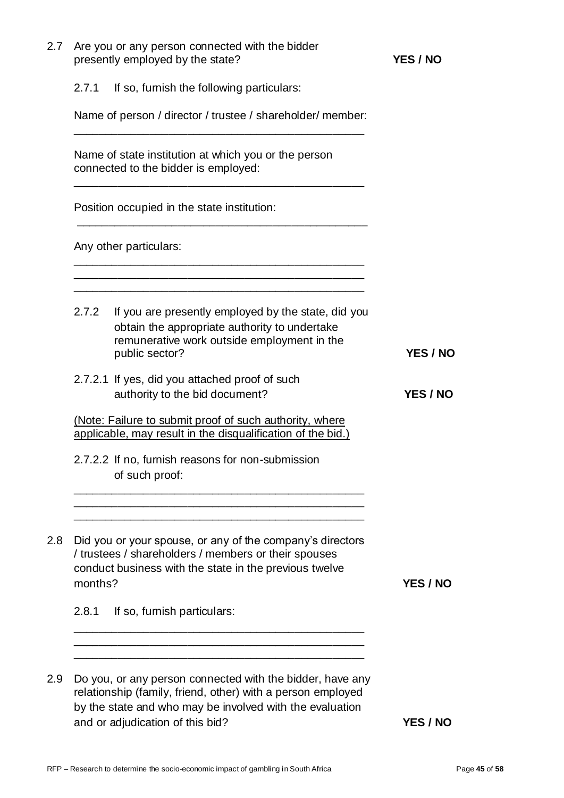|         | Are you or any person connected with the bidder<br>presently employed by the state?                                                                                                                                      | <b>YES / NO</b> |
|---------|--------------------------------------------------------------------------------------------------------------------------------------------------------------------------------------------------------------------------|-----------------|
| 2.7.1   | If so, furnish the following particulars:                                                                                                                                                                                |                 |
|         | Name of person / director / trustee / shareholder/ member:                                                                                                                                                               |                 |
|         | Name of state institution at which you or the person<br>connected to the bidder is employed:                                                                                                                             |                 |
|         | Position occupied in the state institution:                                                                                                                                                                              |                 |
|         | Any other particulars:                                                                                                                                                                                                   |                 |
| 2.7.2   | If you are presently employed by the state, did you<br>obtain the appropriate authority to undertake<br>remunerative work outside employment in the<br>public sector?                                                    | <b>YES / NO</b> |
|         | 2.7.2.1 If yes, did you attached proof of such<br>authority to the bid document?                                                                                                                                         | YES / NO        |
|         | (Note: Failure to submit proof of such authority, where<br>applicable, may result in the disqualification of the bid.)                                                                                                   |                 |
|         | 2.7.2.2 If no, furnish reasons for non-submission<br>of such proof:                                                                                                                                                      |                 |
| months? | Did you or your spouse, or any of the company's directors<br>/ trustees / shareholders / members or their spouses<br>conduct business with the state in the previous twelve                                              | YES / NO        |
| 2.8.1   | If so, furnish particulars:                                                                                                                                                                                              |                 |
|         |                                                                                                                                                                                                                          |                 |
|         | Do you, or any person connected with the bidder, have any<br>relationship (family, friend, other) with a person employed<br>by the state and who may be involved with the evaluation<br>and or adjudication of this bid? | YES / NO        |
|         |                                                                                                                                                                                                                          |                 |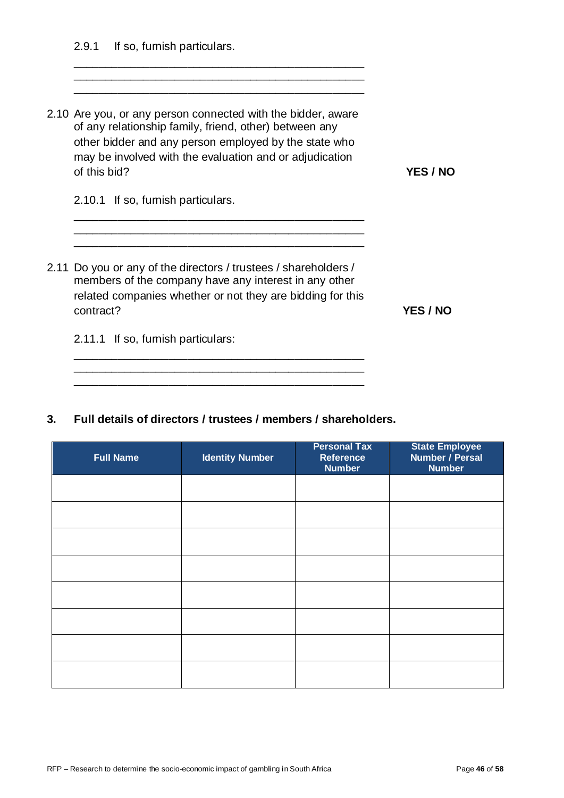2.9.1 If so, furnish particulars.

| 2.10 Are you, or any person connected with the bidder, aware<br>of any relationship family, friend, other) between any<br>other bidder and any person employed by the state who<br>may be involved with the evaluation and or adjudication<br>of this bid? | <b>YES / NO</b> |
|------------------------------------------------------------------------------------------------------------------------------------------------------------------------------------------------------------------------------------------------------------|-----------------|
| 2.10.1 If so, furnish particulars.                                                                                                                                                                                                                         |                 |
| 2.11 Do you or any of the directors / trustees / shareholders /<br>members of the company have any interest in any other<br>related companies whether or not they are bidding for this<br>contract?                                                        | <b>YES / NO</b> |
| If so, furnish particulars:<br>2.11.1                                                                                                                                                                                                                      |                 |

#### **3. Full details of directors / trustees / members / shareholders.**

\_\_\_\_\_\_\_\_\_\_\_\_\_\_\_\_\_\_\_\_\_\_\_\_\_\_\_\_\_\_\_\_\_\_\_\_\_\_\_\_\_\_\_\_\_\_ \_\_\_\_\_\_\_\_\_\_\_\_\_\_\_\_\_\_\_\_\_\_\_\_\_\_\_\_\_\_\_\_\_\_\_\_\_\_\_\_\_\_\_\_\_\_

| <b>Full Name</b> | <b>Identity Number</b> | <b>Personal Tax</b><br><b>Reference</b><br><b>Number</b> | <b>State Employee</b><br>Number / Persal<br><b>Number</b> |
|------------------|------------------------|----------------------------------------------------------|-----------------------------------------------------------|
|                  |                        |                                                          |                                                           |
|                  |                        |                                                          |                                                           |
|                  |                        |                                                          |                                                           |
|                  |                        |                                                          |                                                           |
|                  |                        |                                                          |                                                           |
|                  |                        |                                                          |                                                           |
|                  |                        |                                                          |                                                           |
|                  |                        |                                                          |                                                           |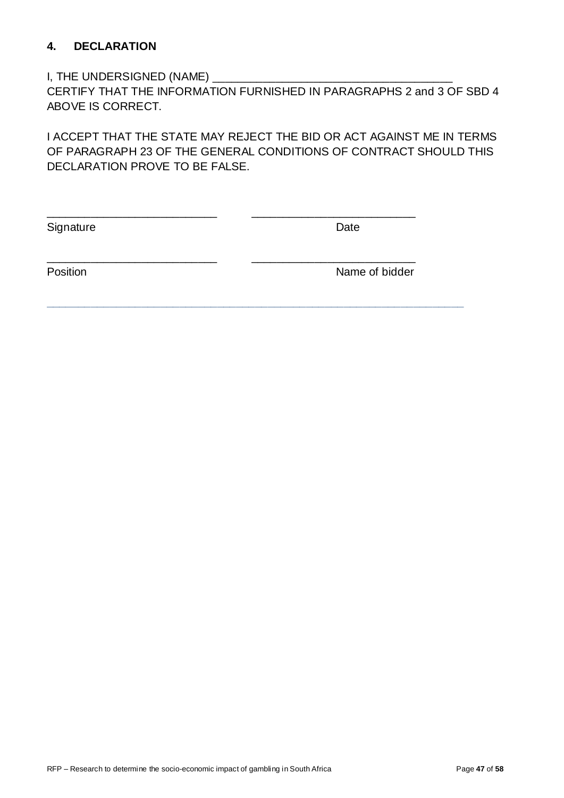#### **4. DECLARATION**

#### I, THE UNDERSIGNED (NAME) \_\_\_\_\_\_\_\_\_\_\_\_\_\_\_\_\_\_\_\_\_\_\_\_\_\_\_\_\_\_\_\_\_\_\_\_\_\_

CERTIFY THAT THE INFORMATION FURNISHED IN PARAGRAPHS 2 and 3 OF SBD 4 ABOVE IS CORRECT.

I ACCEPT THAT THE STATE MAY REJECT THE BID OR ACT AGAINST ME IN TERMS OF PARAGRAPH 23 OF THE GENERAL CONDITIONS OF CONTRACT SHOULD THIS DECLARATION PROVE TO BE FALSE.

\_\_\_\_\_\_\_\_\_\_\_\_\_\_\_\_\_\_\_\_\_\_\_\_\_\_\_ \_\_\_\_\_\_\_\_\_\_\_\_\_\_\_\_\_\_\_\_\_\_\_\_\_\_

\_\_\_\_\_\_\_\_\_\_\_\_\_\_\_\_\_\_\_\_\_\_\_\_\_\_\_ \_\_\_\_\_\_\_\_\_\_\_\_\_\_\_\_\_\_\_\_\_\_\_\_\_\_

**\_\_\_\_\_\_\_\_\_\_\_\_\_\_\_\_\_\_\_\_\_\_\_\_\_\_\_\_\_\_\_\_\_\_\_\_\_\_\_\_\_\_\_\_\_\_\_\_\_\_\_\_\_\_\_\_\_\_\_\_\_\_\_\_\_\_**

Signature Date

Position **Name of bidder**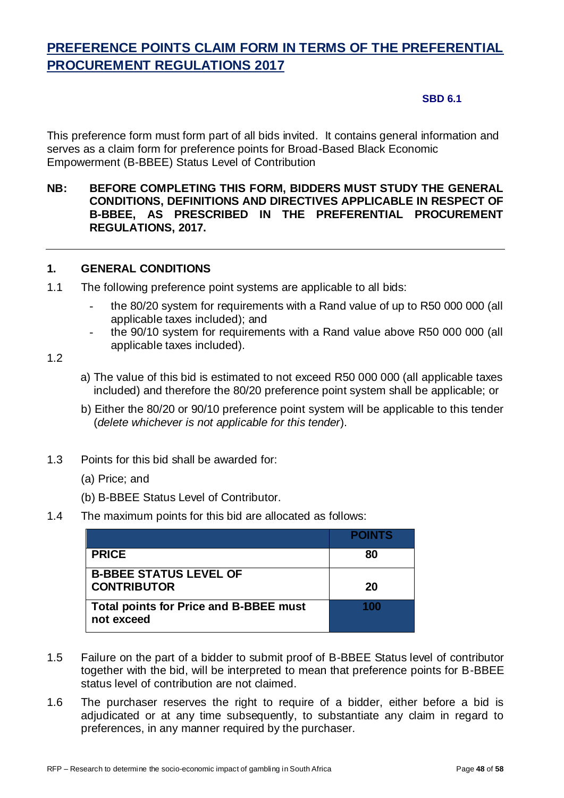# **PREFERENCE POINTS CLAIM FORM IN TERMS OF THE PREFERENTIAL PROCUREMENT REGULATIONS 2017**

#### **SBD 6.1**

This preference form must form part of all bids invited. It contains general information and serves as a claim form for preference points for Broad-Based Black Economic Empowerment (B-BBEE) Status Level of Contribution

#### **NB: BEFORE COMPLETING THIS FORM, BIDDERS MUST STUDY THE GENERAL CONDITIONS, DEFINITIONS AND DIRECTIVES APPLICABLE IN RESPECT OF B-BBEE, AS PRESCRIBED IN THE PREFERENTIAL PROCUREMENT REGULATIONS, 2017.**

#### **1. GENERAL CONDITIONS**

- 1.1 The following preference point systems are applicable to all bids:
	- the 80/20 system for requirements with a Rand value of up to R50 000 000 (all applicable taxes included); and
	- the 90/10 system for requirements with a Rand value above R50 000 000 (all applicable taxes included).

#### 1.2

- a) The value of this bid is estimated to not exceed R50 000 000 (all applicable taxes included) and therefore the 80/20 preference point system shall be applicable; or
- b) Either the 80/20 or 90/10 preference point system will be applicable to this tender (*delete whichever is not applicable for this tender*).
- 1.3 Points for this bid shall be awarded for:
	- (a) Price; and
	- (b) B-BBEE Status Level of Contributor.
- 1.4 The maximum points for this bid are allocated as follows:

|                                                             | <b>POINTS</b> |
|-------------------------------------------------------------|---------------|
| <b>PRICE</b>                                                | 80            |
| <b>B-BBEE STATUS LEVEL OF</b>                               |               |
| <b>CONTRIBUTOR</b>                                          | 20            |
| <b>Total points for Price and B-BBEE must</b><br>not exceed |               |

- 1.5 Failure on the part of a bidder to submit proof of B-BBEE Status level of contributor together with the bid, will be interpreted to mean that preference points for B-BBEE status level of contribution are not claimed.
- 1.6 The purchaser reserves the right to require of a bidder, either before a bid is adjudicated or at any time subsequently, to substantiate any claim in regard to preferences, in any manner required by the purchaser.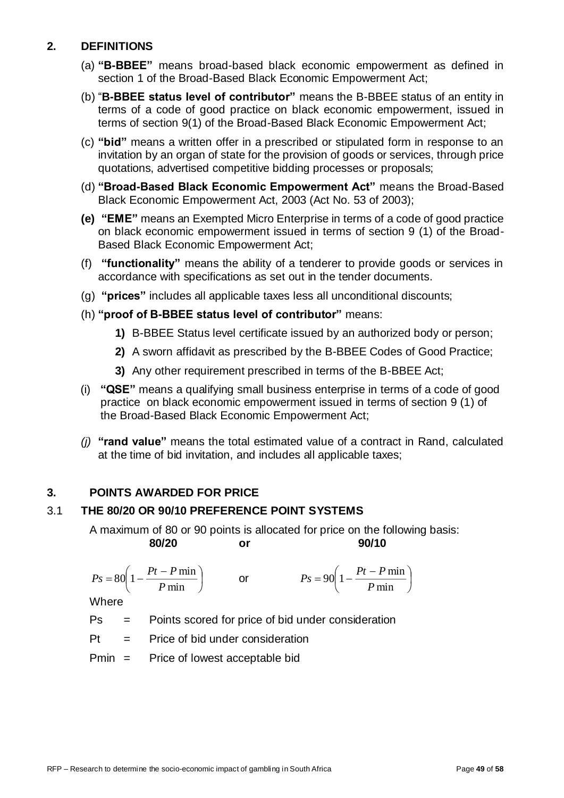#### **2. DEFINITIONS**

- (a) **"B-BBEE"** means broad-based black economic empowerment as defined in section 1 of the Broad-Based Black Economic Empowerment Act;
- (b) "**B-BBEE status level of contributor"** means the B-BBEE status of an entity in terms of a code of good practice on black economic empowerment, issued in terms of section 9(1) of the Broad-Based Black Economic Empowerment Act;
- (c) **"bid"** means a written offer in a prescribed or stipulated form in response to an invitation by an organ of state for the provision of goods or services, through price quotations, advertised competitive bidding processes or proposals;
- (d) **"Broad-Based Black Economic Empowerment Act"** means the Broad-Based Black Economic Empowerment Act, 2003 (Act No. 53 of 2003);
- **(e) "EME"** means an Exempted Micro Enterprise in terms of a code of good practice on black economic empowerment issued in terms of section 9 (1) of the Broad-Based Black Economic Empowerment Act;
- (f) **"functionality"** means the ability of a tenderer to provide goods or services in accordance with specifications as set out in the tender documents.
- (g) **"prices"** includes all applicable taxes less all unconditional discounts;
- (h) **"proof of B-BBEE status level of contributor"** means:
	- **1)** B-BBEE Status level certificate issued by an authorized body or person;
	- **2)** A sworn affidavit as prescribed by the B-BBEE Codes of Good Practice;
	- **3)** Any other requirement prescribed in terms of the B-BBEE Act;
- (i) **"QSE"** means a qualifying small business enterprise in terms of a code of good practice on black economic empowerment issued in terms of section 9 (1) of the Broad-Based Black Economic Empowerment Act;
- *(j)* **"rand value"** means the total estimated value of a contract in Rand, calculated at the time of bid invitation, and includes all applicable taxes;

#### **3. POINTS AWARDED FOR PRICE**

#### 3.1 **THE 80/20 OR 90/10 PREFERENCE POINT SYSTEMS**

A maximum of 80 or 90 points is allocated for price on the following basis: **80/20 or 90/10**

$$
Ps = 80\left(1 - \frac{Pt - P \min P}{ \min}\right) \qquad \text{or} \qquad \qquad Ps = 90\left(1 - \frac{Pt - P \min P}{ \min}\right)
$$

**Where** 

Ps = Points scored for price of bid under consideration

 $Pt =$  Price of bid under consideration

Pmin = Price of lowest acceptable bid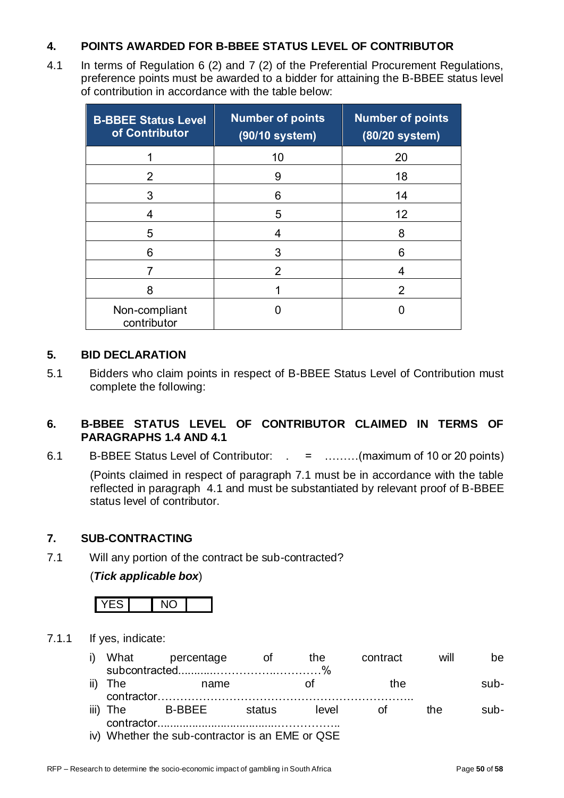#### **4. POINTS AWARDED FOR B-BBEE STATUS LEVEL OF CONTRIBUTOR**

4.1 In terms of Regulation 6 (2) and 7 (2) of the Preferential Procurement Regulations, preference points must be awarded to a bidder for attaining the B-BBEE status level of contribution in accordance with the table below:

| <b>B-BBEE Status Level</b><br>of Contributor | <b>Number of points</b><br>(90/10 system) | <b>Number of points</b><br>(80/20 system) |
|----------------------------------------------|-------------------------------------------|-------------------------------------------|
|                                              | 10                                        | 20                                        |
| 2                                            | 9                                         | 18                                        |
| 3                                            | 6                                         | 14                                        |
| 4                                            | 5                                         | 12                                        |
| 5                                            | 4                                         | 8                                         |
| 6                                            | 3                                         | 6                                         |
|                                              | 2                                         | 4                                         |
| 8                                            |                                           | 2                                         |
| Non-compliant<br>contributor                 |                                           |                                           |

#### **5. BID DECLARATION**

5.1 Bidders who claim points in respect of B-BBEE Status Level of Contribution must complete the following:

#### **6. B-BBEE STATUS LEVEL OF CONTRIBUTOR CLAIMED IN TERMS OF PARAGRAPHS 1.4 AND 4.1**

6.1 B-BBEE Status Level of Contributor: . = ………(maximum of 10 or 20 points)

(Points claimed in respect of paragraph 7.1 must be in accordance with the table reflected in paragraph 4.1 and must be substantiated by relevant proof of B-BBEE status level of contributor.

#### **7. SUB-CONTRACTING**

7.1 Will any portion of the contract be sub-contracted?

(*Tick applicable box*)



7.1.1 If yes, indicate:

|         | i) What percentage | ot of  | the   | contract | will | be.    |
|---------|--------------------|--------|-------|----------|------|--------|
| ii) The | name               |        |       | the      |      | sub-   |
|         | iii) The B-BBEE    | status | level | – ∩t     | the. | $sub-$ |

iv) Whether the sub-contractor is an EME or QSE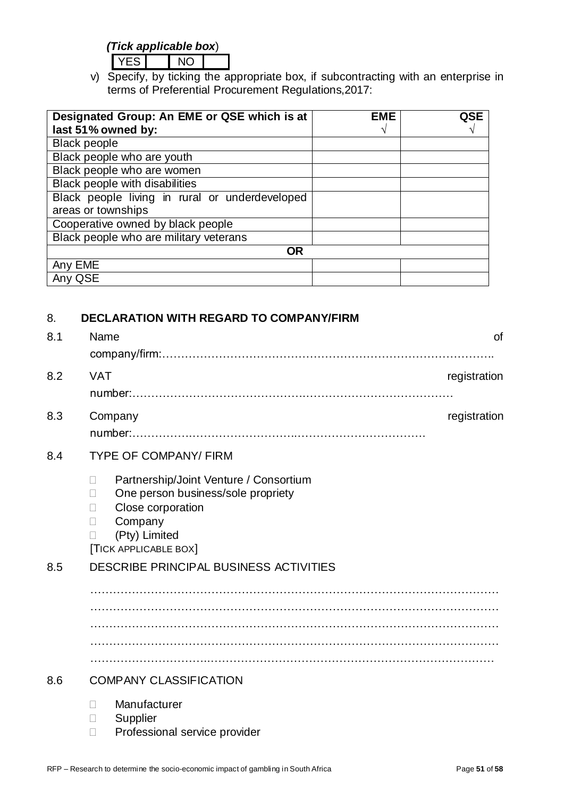#### *(Tick applicable box*)

YES NO

v) Specify, by ticking the appropriate box, if subcontracting with an enterprise in terms of Preferential Procurement Regulations,2017:

| Designated Group: An EME or QSE which is at    | <b>EME</b> | QSE |
|------------------------------------------------|------------|-----|
| last 51% owned by:                             |            |     |
| <b>Black people</b>                            |            |     |
| Black people who are youth                     |            |     |
| Black people who are women                     |            |     |
| Black people with disabilities                 |            |     |
| Black people living in rural or underdeveloped |            |     |
| areas or townships                             |            |     |
| Cooperative owned by black people              |            |     |
| Black people who are military veterans         |            |     |
| <b>OR</b>                                      |            |     |
| Any EME                                        |            |     |
| Any QSE                                        |            |     |

#### 8. **DECLARATION WITH REGARD TO COMPANY/FIRM**

| 8.1 | Name                                                                                                                                                                                                            | <b>of</b>    |
|-----|-----------------------------------------------------------------------------------------------------------------------------------------------------------------------------------------------------------------|--------------|
| 8.2 | <b>VAT</b>                                                                                                                                                                                                      | registration |
| 8.3 | Company                                                                                                                                                                                                         | registration |
| 8.4 | <b>TYPE OF COMPANY/ FIRM</b>                                                                                                                                                                                    |              |
|     | Partnership/Joint Venture / Consortium<br>$\mathbf{L}$<br>One person business/sole propriety<br>$\Box$<br>Close corporation<br>$\mathbf{L}$<br>Company<br>(Pty) Limited<br>$\Box$<br><b>TICK APPLICABLE BOX</b> |              |
| 8.5 | DESCRIBE PRINCIPAL BUSINESS ACTIVITIES                                                                                                                                                                          |              |
|     |                                                                                                                                                                                                                 |              |
|     |                                                                                                                                                                                                                 |              |
|     |                                                                                                                                                                                                                 |              |
|     |                                                                                                                                                                                                                 |              |
| 8.6 | <b>COMPANY CLASSIFICATION</b>                                                                                                                                                                                   |              |
|     | Manufacturer<br>П<br>Supplier<br>Professional service provider<br>$\Box$                                                                                                                                        |              |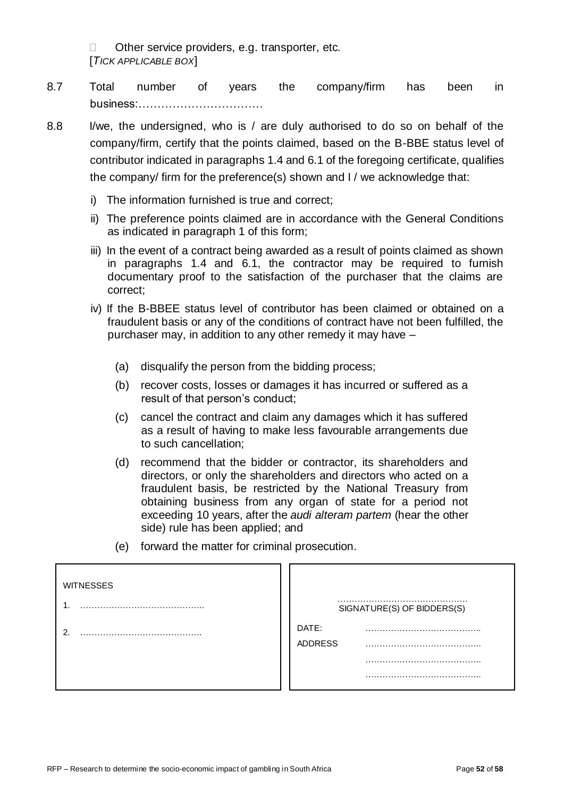□ Other service providers, e.g. transporter, etc. [*TICK APPLICABLE BOX*]

- 8.7 Total number of years the company/firm has been in business:……………………………
- 8.8 I/we, the undersigned, who is / are duly authorised to do so on behalf of the company/firm, certify that the points claimed, based on the B-BBE status level of contributor indicated in paragraphs 1.4 and 6.1 of the foregoing certificate, qualifies the company/ firm for the preference(s) shown and I / we acknowledge that:
	- i) The information furnished is true and correct;
	- ii) The preference points claimed are in accordance with the General Conditions as indicated in paragraph 1 of this form;
	- iii) In the event of a contract being awarded as a result of points claimed as shown in paragraphs 1.4 and 6.1, the contractor may be required to furnish documentary proof to the satisfaction of the purchaser that the claims are correct;
	- iv) If the B-BBEE status level of contributor has been claimed or obtained on a fraudulent basis or any of the conditions of contract have not been fulfilled, the purchaser may, in addition to any other remedy it may have –
		- (a) disqualify the person from the bidding process;
		- (b) recover costs, losses or damages it has incurred or suffered as a result of that person's conduct;
		- (c) cancel the contract and claim any damages which it has suffered as a result of having to make less favourable arrangements due to such cancellation;
		- (d) recommend that the bidder or contractor, its shareholders and directors, or only the shareholders and directors who acted on a fraudulent basis, be restricted by the National Treasury from obtaining business from any organ of state for a period not exceeding 10 years, after the *audi alteram partem* (hear the other side) rule has been applied; and
		- (e) forward the matter for criminal prosecution.

| <b>WITNESSES</b> |                            |
|------------------|----------------------------|
|                  | SIGNATURE(S) OF BIDDERS(S) |
| ົ                | DATE:<br><b>ADDRESS</b>    |
|                  |                            |
|                  |                            |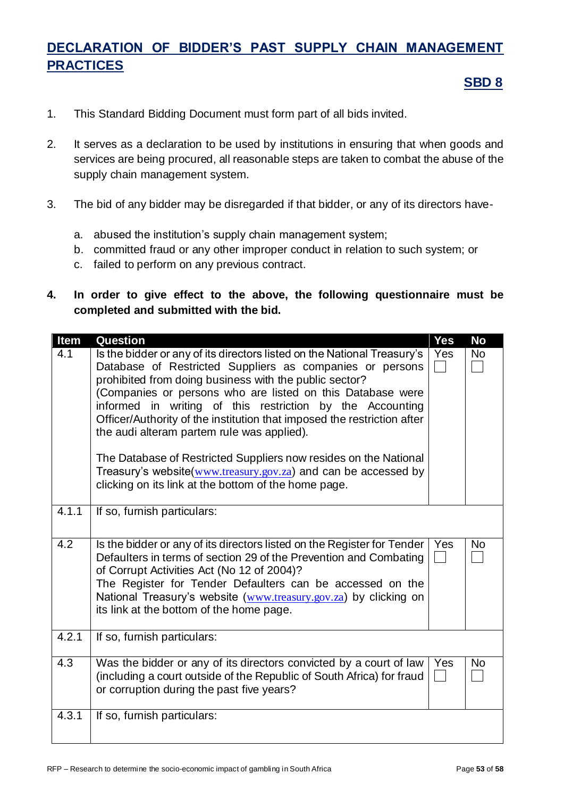# **DECLARATION OF BIDDER'S PAST SUPPLY CHAIN MANAGEMENT PRACTICES**

#### **SBD 8**

- 1. This Standard Bidding Document must form part of all bids invited.
- 2. It serves as a declaration to be used by institutions in ensuring that when goods and services are being procured, all reasonable steps are taken to combat the abuse of the supply chain management system.
- 3. The bid of any bidder may be disregarded if that bidder, or any of its directors have
	- a. abused the institution's supply chain management system;
	- b. committed fraud or any other improper conduct in relation to such system; or
	- c. failed to perform on any previous contract.
- **4. In order to give effect to the above, the following questionnaire must be completed and submitted with the bid.**

| Item  | <b>Question</b>                                                                                                                                                                                                                                                                                                                                                                                                                                                                                                                                                                                                                                 | <b>Yes</b> | <b>No</b> |
|-------|-------------------------------------------------------------------------------------------------------------------------------------------------------------------------------------------------------------------------------------------------------------------------------------------------------------------------------------------------------------------------------------------------------------------------------------------------------------------------------------------------------------------------------------------------------------------------------------------------------------------------------------------------|------------|-----------|
| 4.1   | Is the bidder or any of its directors listed on the National Treasury's<br>Database of Restricted Suppliers as companies or persons<br>prohibited from doing business with the public sector?<br>(Companies or persons who are listed on this Database were<br>informed in writing of this restriction by the Accounting<br>Officer/Authority of the institution that imposed the restriction after<br>the audi alteram partem rule was applied).<br>The Database of Restricted Suppliers now resides on the National<br>Treasury's website(www.treasury.gov.za) and can be accessed by<br>clicking on its link at the bottom of the home page. | Yes        | <b>No</b> |
| 4.1.1 | If so, furnish particulars:                                                                                                                                                                                                                                                                                                                                                                                                                                                                                                                                                                                                                     |            |           |
| 4.2   | Is the bidder or any of its directors listed on the Register for Tender<br>Defaulters in terms of section 29 of the Prevention and Combating<br>of Corrupt Activities Act (No 12 of 2004)?<br>The Register for Tender Defaulters can be accessed on the<br>National Treasury's website (www.treasury.gov.za) by clicking on<br>its link at the bottom of the home page.                                                                                                                                                                                                                                                                         | Yes        | <b>No</b> |
| 4.2.1 | If so, furnish particulars:                                                                                                                                                                                                                                                                                                                                                                                                                                                                                                                                                                                                                     |            |           |
| 4.3   | Was the bidder or any of its directors convicted by a court of law<br>(including a court outside of the Republic of South Africa) for fraud<br>or corruption during the past five years?                                                                                                                                                                                                                                                                                                                                                                                                                                                        | Yes        | <b>No</b> |
| 4.3.1 | If so, furnish particulars:                                                                                                                                                                                                                                                                                                                                                                                                                                                                                                                                                                                                                     |            |           |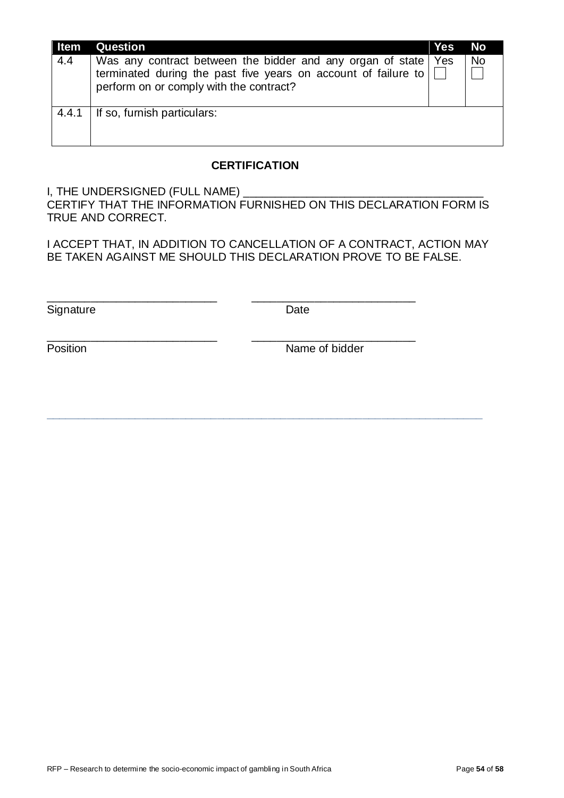| ∥ Item | <b>Question</b>                                                                                                                                                                      | <b>Yes</b> | <b>No</b> |
|--------|--------------------------------------------------------------------------------------------------------------------------------------------------------------------------------------|------------|-----------|
| 4.4    | Was any contract between the bidder and any organ of state   Yes<br>terminated during the past five years on account of failure to $\Box$<br>perform on or comply with the contract? |            | No        |
| 4.4.1  | If so, furnish particulars:                                                                                                                                                          |            |           |

#### **CERTIFICATION**

I, THE UNDERSIGNED (FULL NAME) CERTIFY THAT THE INFORMATION FURNISHED ON THIS DECLARATION FORM IS TRUE AND CORRECT.

I ACCEPT THAT, IN ADDITION TO CANCELLATION OF A CONTRACT, ACTION MAY BE TAKEN AGAINST ME SHOULD THIS DECLARATION PROVE TO BE FALSE.

**\_\_\_\_\_\_\_\_\_\_\_\_\_\_\_\_\_\_\_\_\_\_\_\_\_\_\_\_\_\_\_\_\_\_\_\_\_\_\_\_\_\_\_\_\_\_\_\_\_\_\_\_\_\_\_\_\_\_\_\_\_\_\_\_\_\_\_\_\_**

\_\_\_\_\_\_\_\_\_\_\_\_\_\_\_\_\_\_\_\_\_\_\_\_\_\_\_ \_\_\_\_\_\_\_\_\_\_\_\_\_\_\_\_\_\_\_\_\_\_\_\_\_\_

\_\_\_\_\_\_\_\_\_\_\_\_\_\_\_\_\_\_\_\_\_\_\_\_\_\_\_ \_\_\_\_\_\_\_\_\_\_\_\_\_\_\_\_\_\_\_\_\_\_\_\_\_\_

Signature Date

Position **Name of bidder**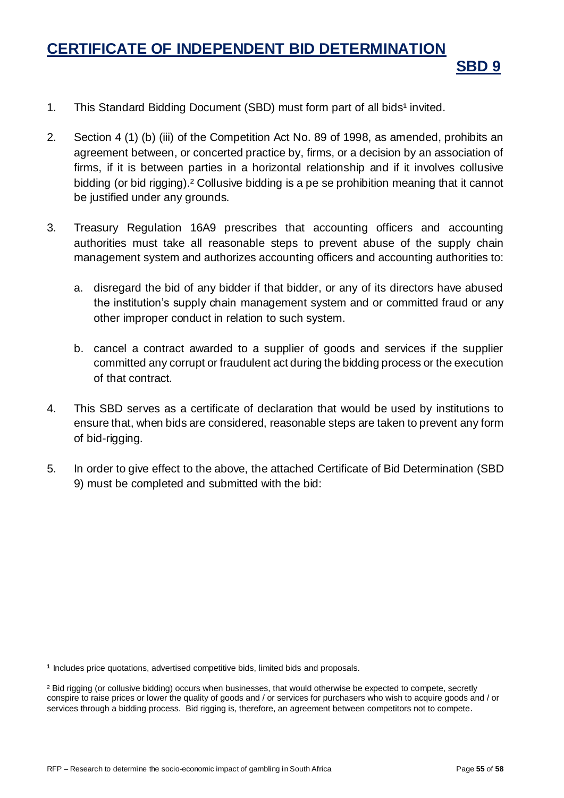# **CERTIFICATE OF INDEPENDENT BID DETERMINATION**

- 1. This Standard Bidding Document (SBD) must form part of all bids<sup>1</sup> invited.
- 2. Section 4 (1) (b) (iii) of the Competition Act No. 89 of 1998, as amended, prohibits an agreement between, or concerted practice by, firms, or a decision by an association of firms, if it is between parties in a horizontal relationship and if it involves collusive bidding (or bid rigging).² Collusive bidding is a pe se prohibition meaning that it cannot be justified under any grounds.
- 3. Treasury Regulation 16A9 prescribes that accounting officers and accounting authorities must take all reasonable steps to prevent abuse of the supply chain management system and authorizes accounting officers and accounting authorities to:
	- a. disregard the bid of any bidder if that bidder, or any of its directors have abused the institution's supply chain management system and or committed fraud or any other improper conduct in relation to such system.
	- b. cancel a contract awarded to a supplier of goods and services if the supplier committed any corrupt or fraudulent act during the bidding process or the execution of that contract.
- 4. This SBD serves as a certificate of declaration that would be used by institutions to ensure that, when bids are considered, reasonable steps are taken to prevent any form of bid-rigging.
- 5. In order to give effect to the above, the attached Certificate of Bid Determination (SBD 9) must be completed and submitted with the bid:

<sup>1</sup> Includes price quotations, advertised competitive bids, limited bids and proposals.

**SBD 9**

² Bid rigging (or collusive bidding) occurs when businesses, that would otherwise be expected to compete, secretly conspire to raise prices or lower the quality of goods and / or services for purchasers who wish to acquire goods and / or services through a bidding process. Bid rigging is, therefore, an agreement between competitors not to compete.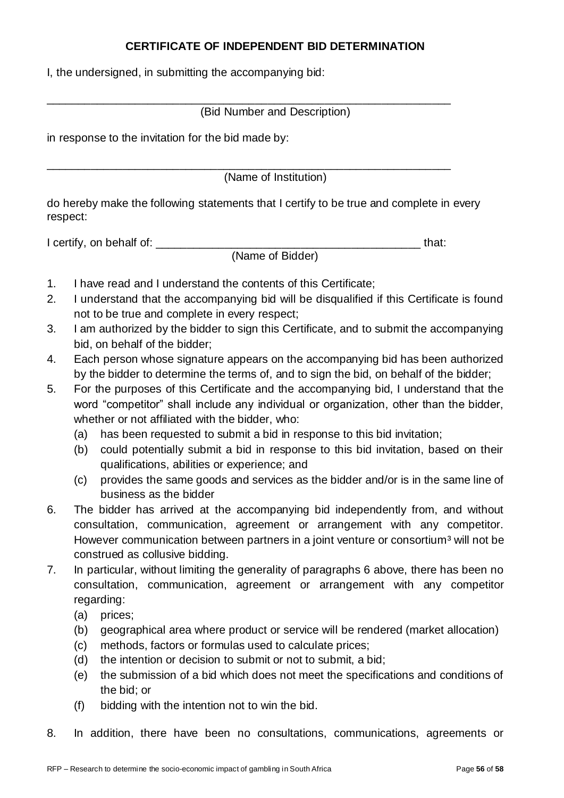#### **CERTIFICATE OF INDEPENDENT BID DETERMINATION**

I, the undersigned, in submitting the accompanying bid:

(Bid Number and Description)

\_\_\_\_\_\_\_\_\_\_\_\_\_\_\_\_\_\_\_\_\_\_\_\_\_\_\_\_\_\_\_\_\_\_\_\_\_\_\_\_\_\_\_\_\_\_\_\_\_\_\_\_\_\_\_\_\_\_\_\_\_\_\_\_

in response to the invitation for the bid made by:

\_\_\_\_\_\_\_\_\_\_\_\_\_\_\_\_\_\_\_\_\_\_\_\_\_\_\_\_\_\_\_\_\_\_\_\_\_\_\_\_\_\_\_\_\_\_\_\_\_\_\_\_\_\_\_\_\_\_\_\_\_\_\_\_ (Name of Institution)

do hereby make the following statements that I certify to be true and complete in every respect:

I certify, on behalf of: \_\_\_\_\_\_\_\_\_\_\_\_\_\_\_\_\_\_\_\_\_\_\_\_\_\_\_\_\_\_\_\_\_\_\_\_\_\_\_\_\_\_ that:

(Name of Bidder)

- 1. I have read and I understand the contents of this Certificate;
- 2. I understand that the accompanying bid will be disqualified if this Certificate is found not to be true and complete in every respect;
- 3. I am authorized by the bidder to sign this Certificate, and to submit the accompanying bid, on behalf of the bidder;
- 4. Each person whose signature appears on the accompanying bid has been authorized by the bidder to determine the terms of, and to sign the bid, on behalf of the bidder;
- 5. For the purposes of this Certificate and the accompanying bid, I understand that the word "competitor" shall include any individual or organization, other than the bidder, whether or not affiliated with the bidder, who:
	- (a) has been requested to submit a bid in response to this bid invitation;
	- (b) could potentially submit a bid in response to this bid invitation, based on their qualifications, abilities or experience; and
	- (c) provides the same goods and services as the bidder and/or is in the same line of business as the bidder
- 6. The bidder has arrived at the accompanying bid independently from, and without consultation, communication, agreement or arrangement with any competitor. However communication between partners in a joint venture or consortium<sup>3</sup> will not be construed as collusive bidding.
- 7. In particular, without limiting the generality of paragraphs 6 above, there has been no consultation, communication, agreement or arrangement with any competitor regarding:
	- (a) prices;
	- (b) geographical area where product or service will be rendered (market allocation)
	- (c) methods, factors or formulas used to calculate prices;
	- (d) the intention or decision to submit or not to submit, a bid;
	- (e) the submission of a bid which does not meet the specifications and conditions of the bid; or
	- (f) bidding with the intention not to win the bid.
- 8. In addition, there have been no consultations, communications, agreements or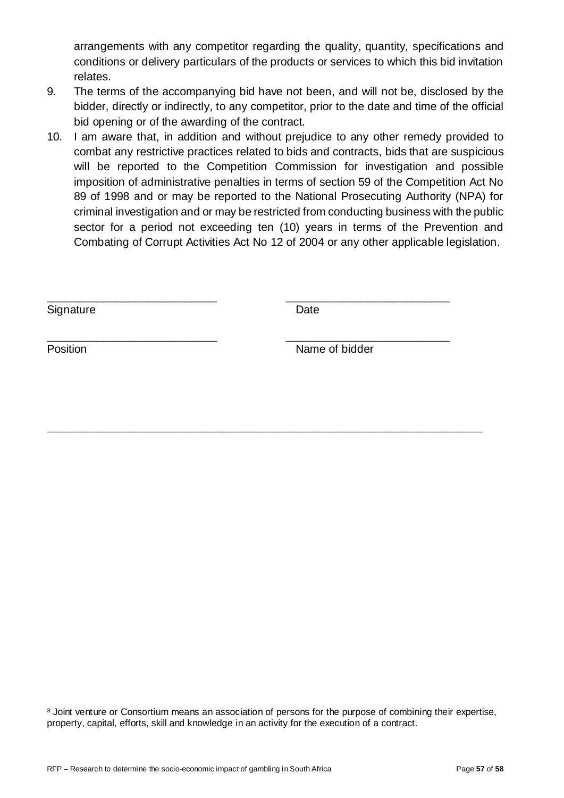arrangements with any competitor regarding the quality, quantity, specifications and conditions or delivery particulars of the products or services to which this bid invitation relates.

- 9. The terms of the accompanying bid have not been, and will not be, disclosed by the bidder, directly or indirectly, to any competitor, prior to the date and time of the official bid opening or of the awarding of the contract.
- 10. I am aware that, in addition and without prejudice to any other remedy provided to combat any restrictive practices related to bids and contracts, bids that are suspicious will be reported to the Competition Commission for investigation and possible imposition of administrative penalties in terms of section 59 of the Competition Act No 89 of 1998 and or may be reported to the National Prosecuting Authority (NPA) for criminal investigation and or may be restricted from conducting business with the public sector for a period not exceeding ten (10) years in terms of the Prevention and Combating of Corrupt Activities Act No 12 of 2004 or any other applicable legislation.

\_\_\_\_\_\_\_\_\_\_\_\_\_\_\_\_\_\_\_\_\_\_\_\_\_\_\_ \_\_\_\_\_\_\_\_\_\_\_\_\_\_\_\_\_\_\_\_\_\_\_\_\_\_

**\_\_\_\_\_\_\_\_\_\_\_\_\_\_\_\_\_\_\_\_\_\_\_\_\_\_\_\_\_\_\_\_\_\_\_\_\_\_\_\_\_\_\_\_\_\_\_\_\_\_\_\_\_\_\_\_\_\_\_\_\_\_\_\_\_\_\_\_\_**

Signature Date Date

\_\_\_\_\_\_\_\_\_\_\_\_\_\_\_\_\_\_\_\_\_\_\_\_\_\_\_ \_\_\_\_\_\_\_\_\_\_\_\_\_\_\_\_\_\_\_\_\_\_\_\_\_\_ Position **Name of bidder** 

³ Joint venture or Consortium means an association of persons for the purpose of combining their expertise, property, capital, efforts, skill and knowledge in an activity for the execution of a contract.